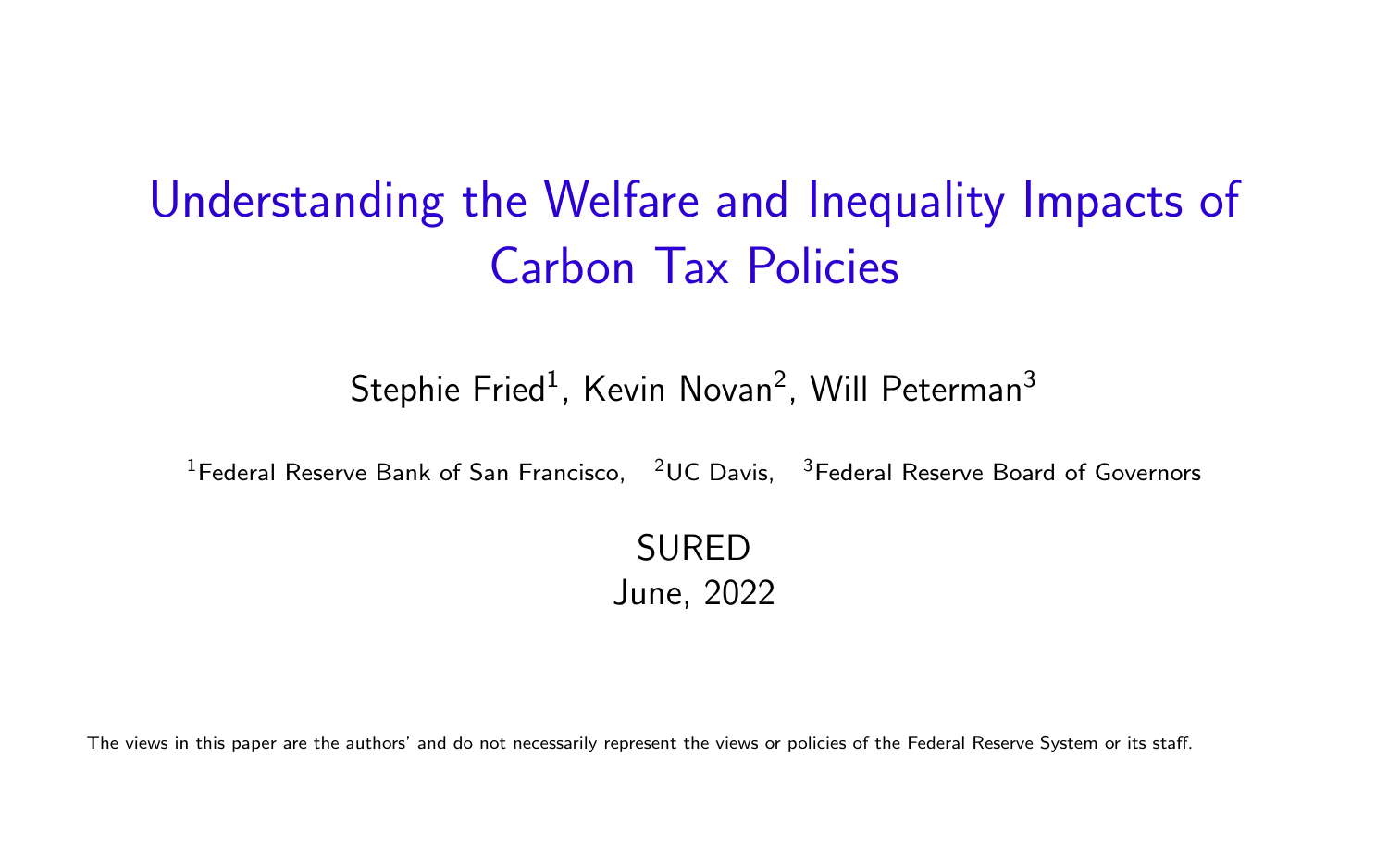# <span id="page-0-0"></span>Understanding the Welfare and Inequality Impacts of Carbon Tax Policies

Stephie Fried $^1$ , Kevin Novan $^2$ , Will Peterman $^3$ 

 $1$ Federal Reserve Bank of San Francisco,  $2\text{UC}$  Davis,  $3\text{Federal}$  Reserve Board of Governors

SURED June, 2022

The views in this paper are the authors' and do not necessarily represent the views or policies of the Federal Reserve System or its staff.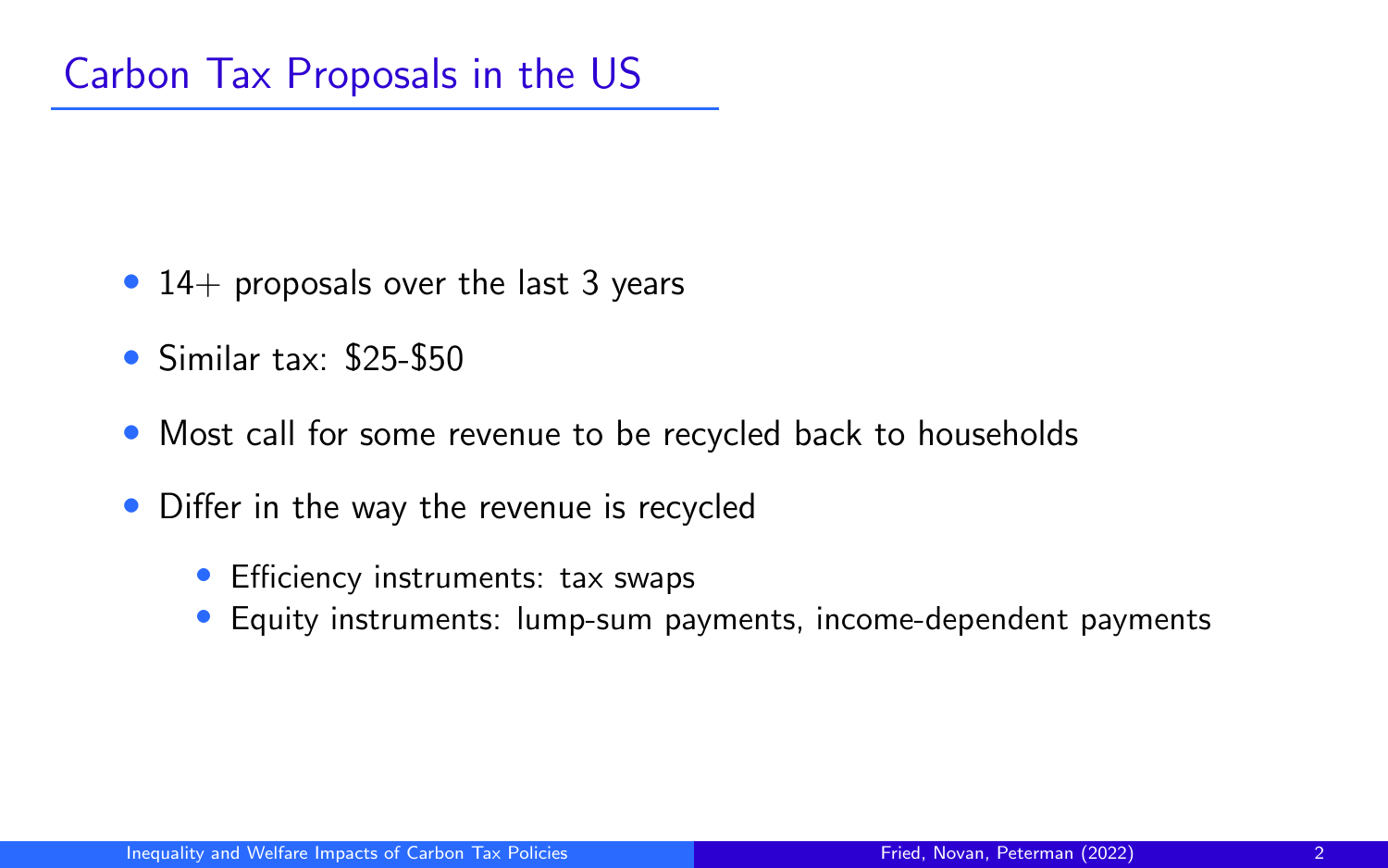- 14+ proposals over the last 3 years
- Similar tax: \$25-\$50
- Most call for some revenue to be recycled back to households
- Differ in the way the revenue is recycled
	- Efficiency instruments: tax swaps
	- Equity instruments: lump-sum payments, income-dependent payments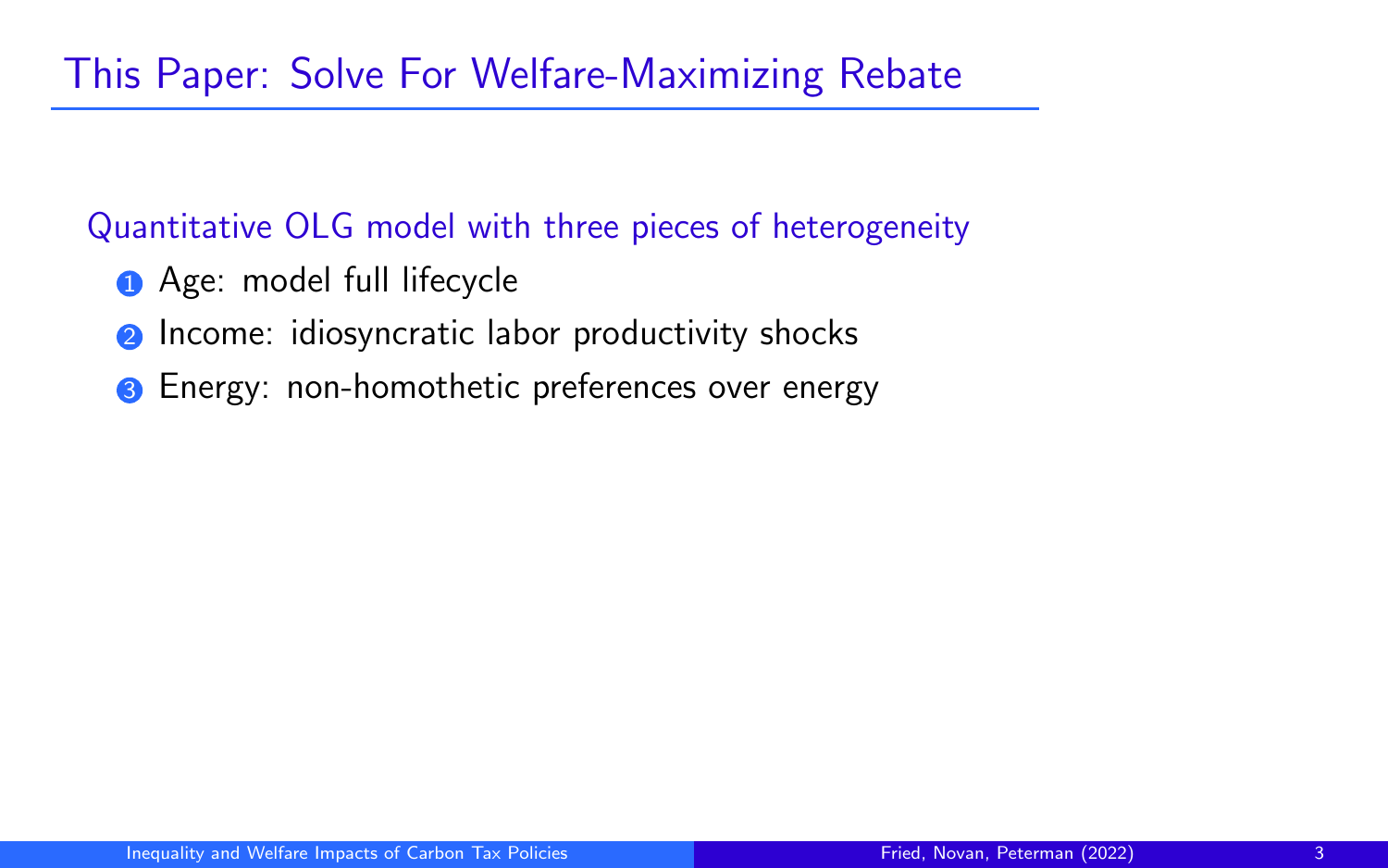#### Quantitative OLG model with three pieces of heterogeneity

- **1** Age: model full lifecycle
- **2** Income: idiosyncratic labor productivity shocks
- **3** Energy: non-homothetic preferences over energy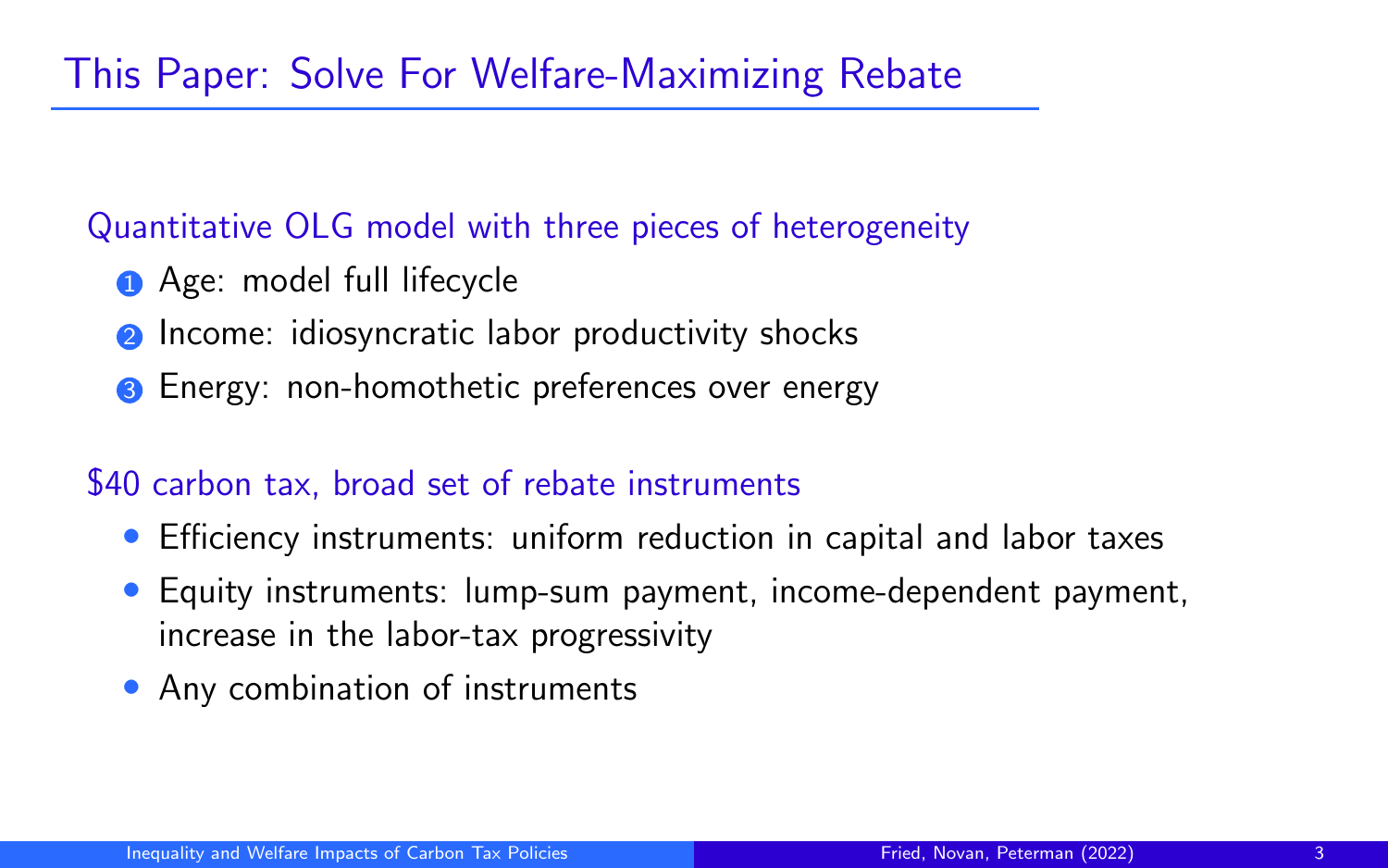#### Quantitative OLG model with three pieces of heterogeneity

- **1** Age: model full lifecycle
- Income: idiosyncratic labor productivity shocks
- **3** Energy: non-homothetic preferences over energy

### \$40 carbon tax, broad set of rebate instruments

- Efficiency instruments: uniform reduction in capital and labor taxes
- Equity instruments: lump-sum payment, income-dependent payment, increase in the labor-tax progressivity
- Any combination of instruments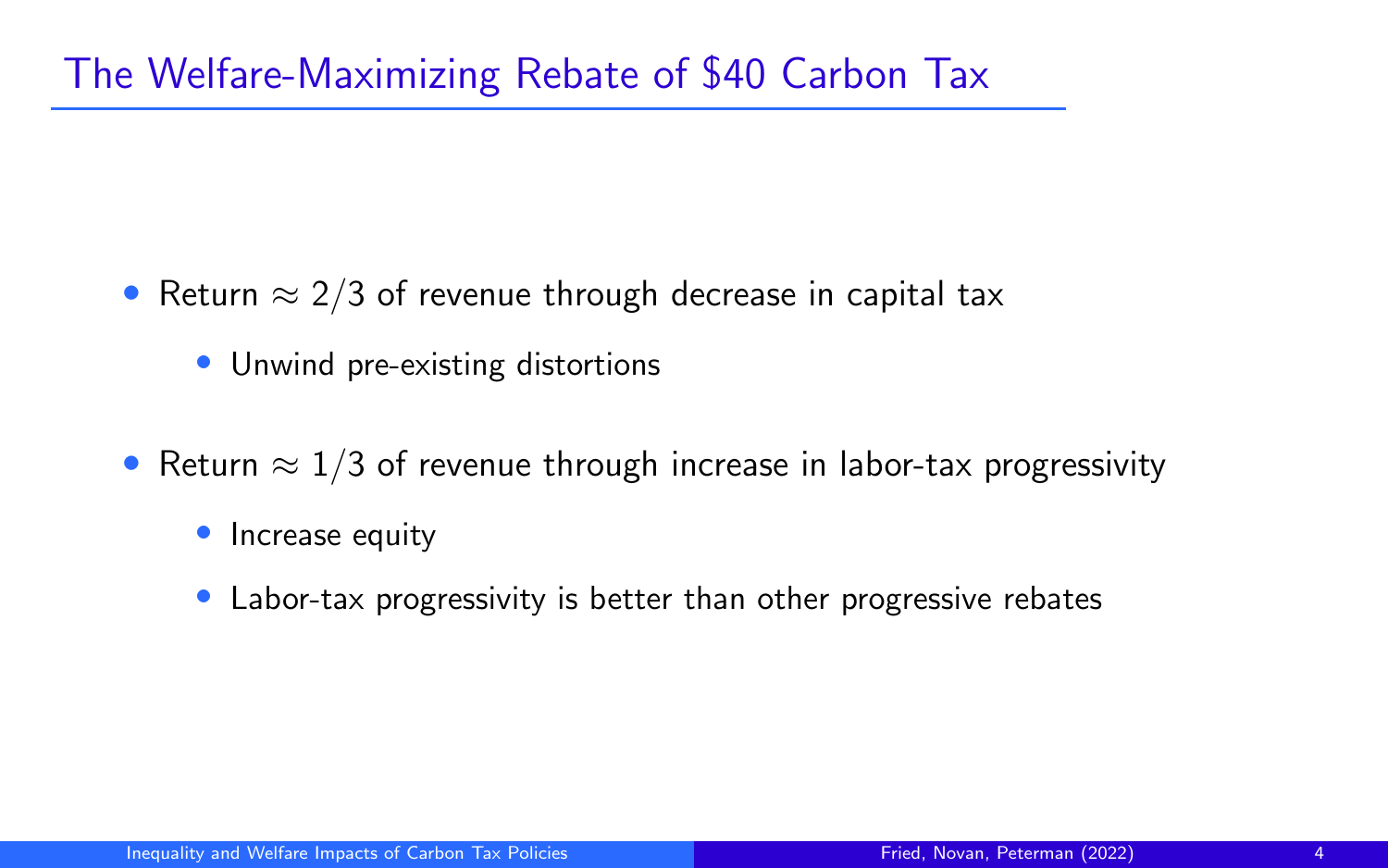## The Welfare-Maximizing Rebate of \$40 Carbon Tax

- Return  $\approx$  2/3 of revenue through decrease in capital tax
	- Unwind pre-existing distortions
- Return  $\approx 1/3$  of revenue through increase in labor-tax progressivity
	- Increase equity
	- Labor-tax progressivity is better than other progressive rebates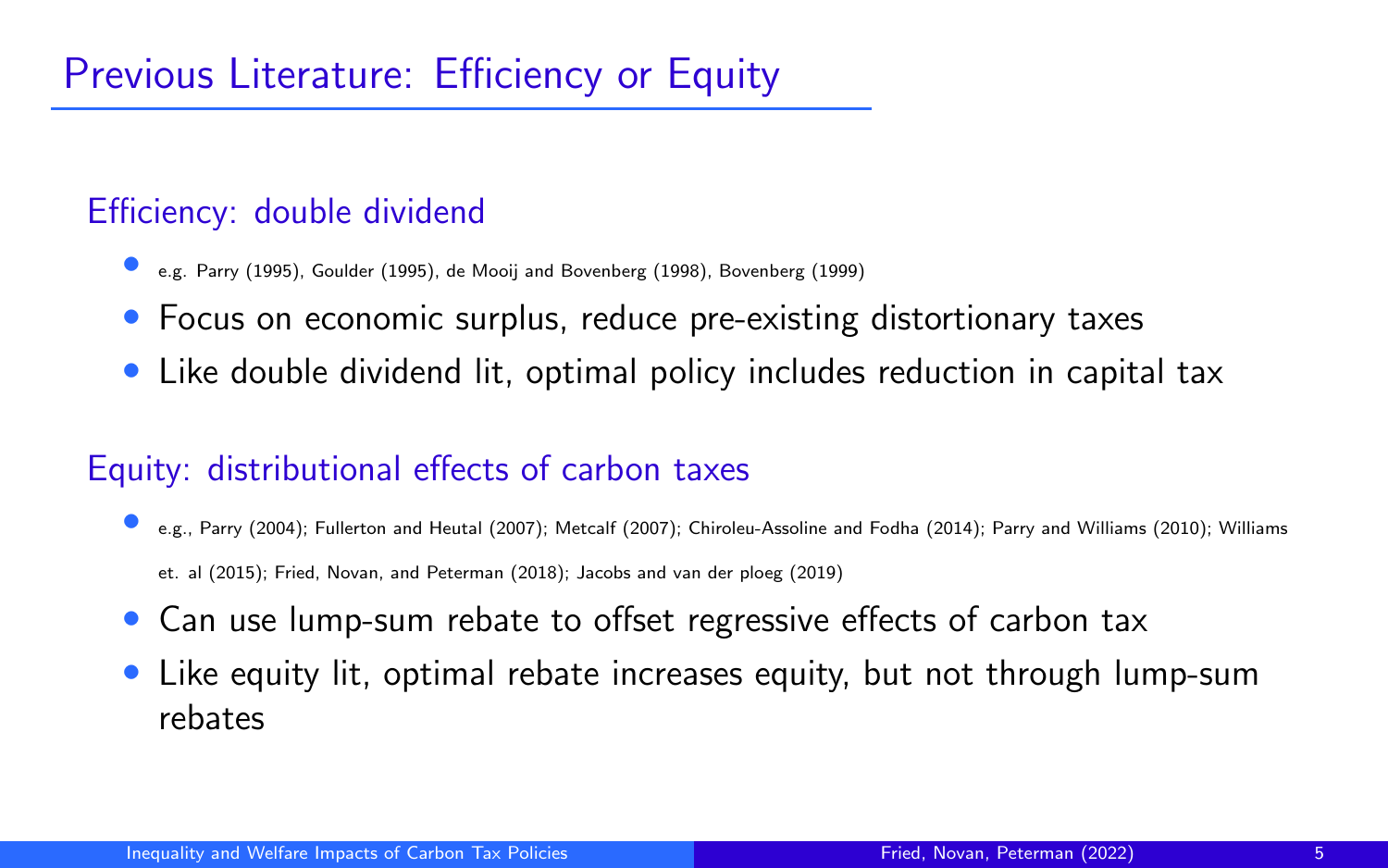## Efficiency: double dividend

- e.g. Parry (1995), Goulder (1995), de Mooij and Bovenberg (1998), Bovenberg (1999)
- Focus on economic surplus, reduce pre-existing distortionary taxes
- Like double dividend lit, optimal policy includes reduction in capital tax

### Equity: distributional effects of carbon taxes

- e.g., Parry (2004); Fullerton and Heutal (2007); Metcalf (2007); Chiroleu-Assoline and Fodha (2014); Parry and Williams (2010); Williams et. al (2015); Fried, Novan, and Peterman (2018); Jacobs and van der ploeg (2019)
- Can use lump-sum rebate to offset regressive effects of carbon tax
- Like equity lit, optimal rebate increases equity, but not through lump-sum rebates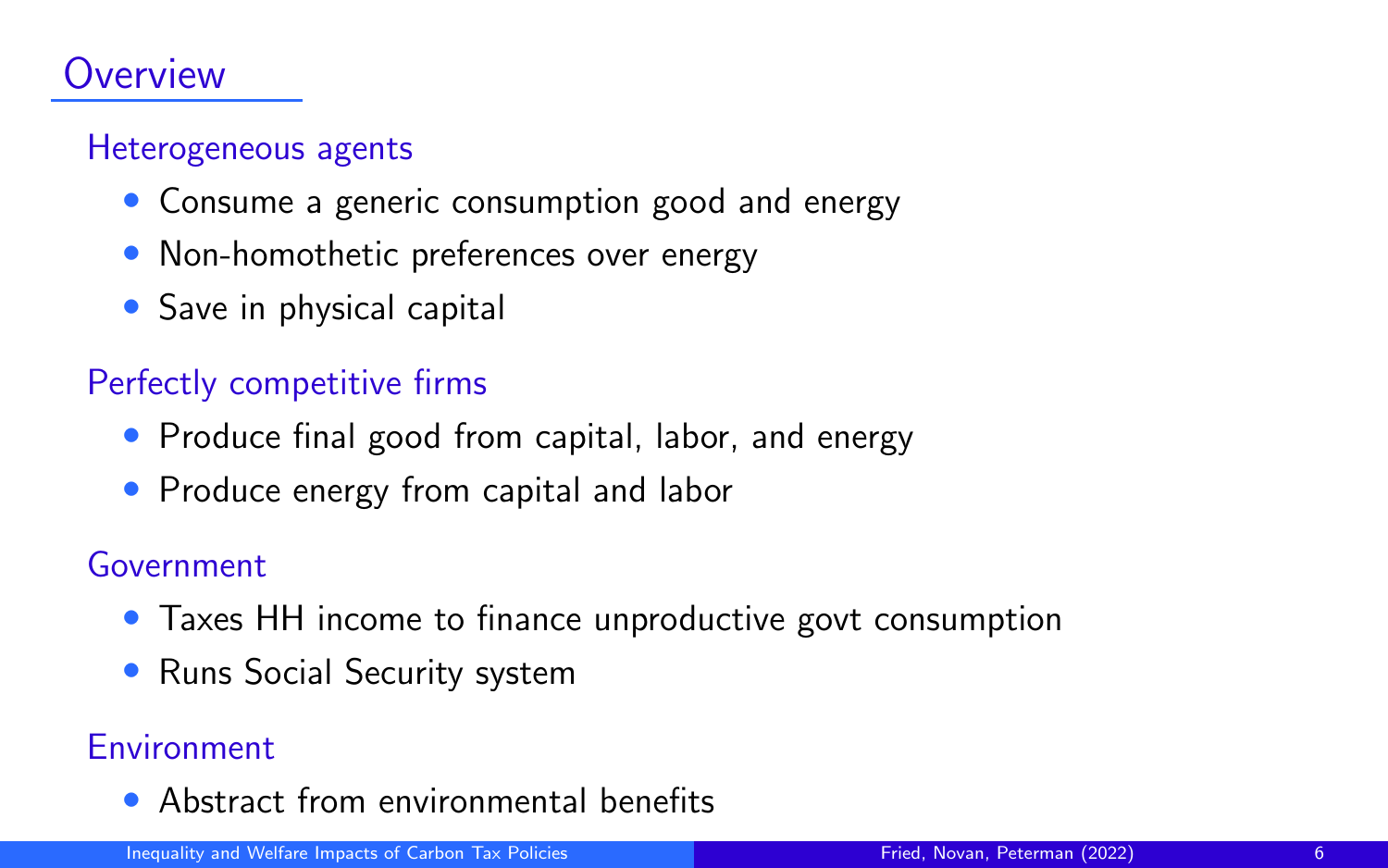## Overview

#### Heterogeneous agents

- Consume a generic consumption good and energy
- Non-homothetic preferences over energy
- Save in physical capital

#### Perfectly competitive firms

- Produce final good from capital, labor, and energy
- Produce energy from capital and labor

#### Government

- Taxes HH income to finance unproductive govt consumption
- Runs Social Security system

#### **Environment**

• Abstract from environmental benefits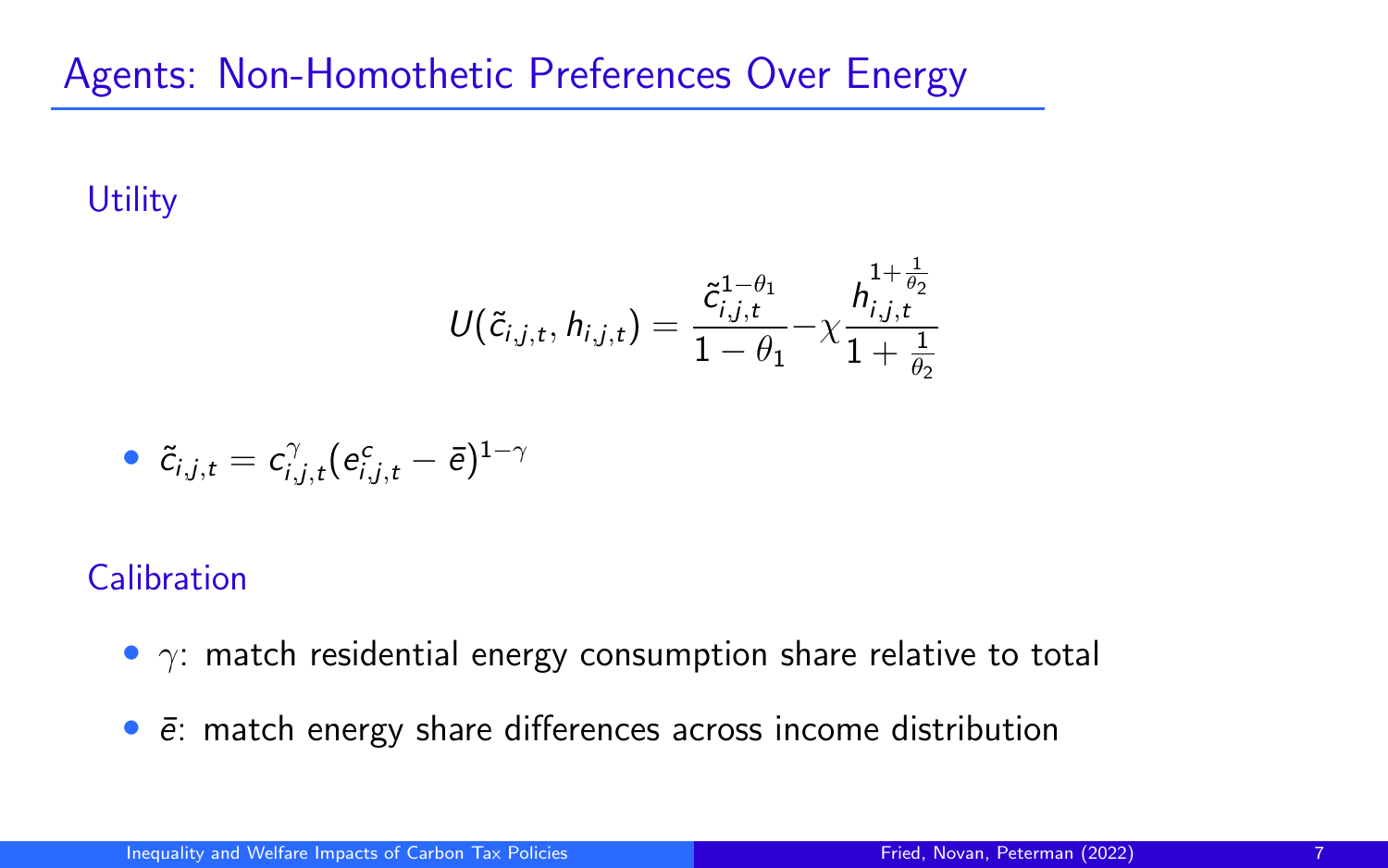## Agents: Non-Homothetic Preferences Over Energy

## **Utility**

$$
U(\tilde{c}_{i,j,t},h_{i,j,t}) = \frac{\tilde{c}_{i,j,t}^{1-\theta_1}}{1-\theta_1} - \chi \frac{h_{i,j,t}^{1+\frac{1}{\theta_2}}}{1+\frac{1}{\theta_2}}
$$

$$
\bullet \ \ \widetilde{c}_{i,j,t}=c_{i,j,t}^{\gamma}(e_{i,j,t}^{c}-\bar{e})^{1-\gamma}
$$

### **Calibration**

- $\gamma$ : match residential energy consumption share relative to total
- $\bullet$   $\bar{e}$ : match energy share differences across income distribution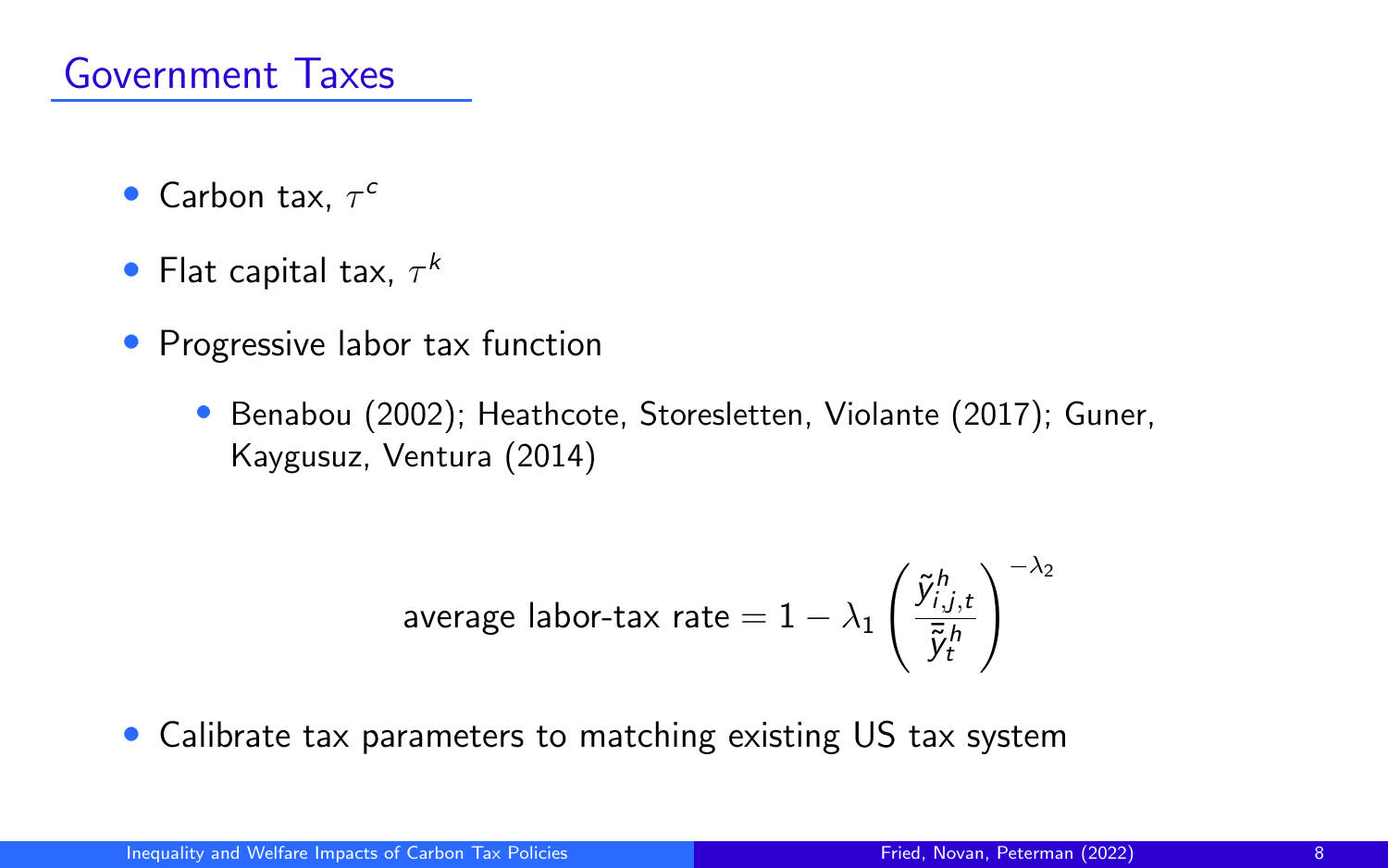- Carbon tax,  $\tau^c$
- Flat capital tax,  $\tau^k$
- Progressive labor tax function
	- Benabou (2002); Heathcote, Storesletten, Violante (2017); Guner, Kaygusuz, Ventura (2014)

$$
\text{average labor-tax rate} = 1 - \lambda_1 \left( \frac{\tilde{\mathbf{y}}_{i,j,t}^h}{\bar{\tilde{\mathbf{y}}}_t^h} \right)^{-\lambda_2}
$$

• Calibrate tax parameters to matching existing US tax system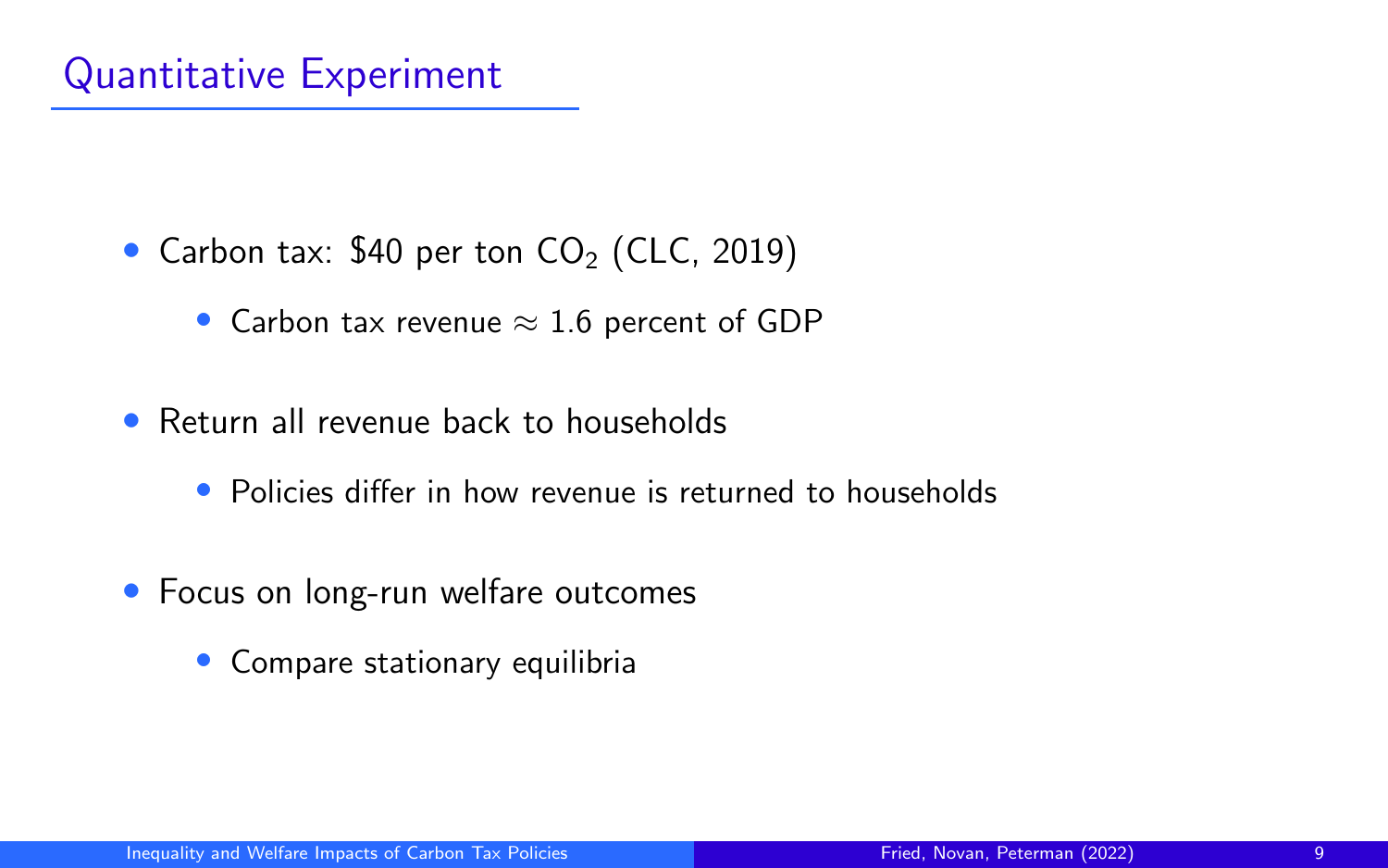## Quantitative Experiment

- Carbon tax: \$40 per ton  $CO<sub>2</sub>$  (CLC, 2019)
	- Carbon tax revenue  $\approx 1.6$  percent of GDP
- Return all revenue back to households
	- Policies differ in how revenue is returned to households
- Focus on long-run welfare outcomes
	- Compare stationary equilibria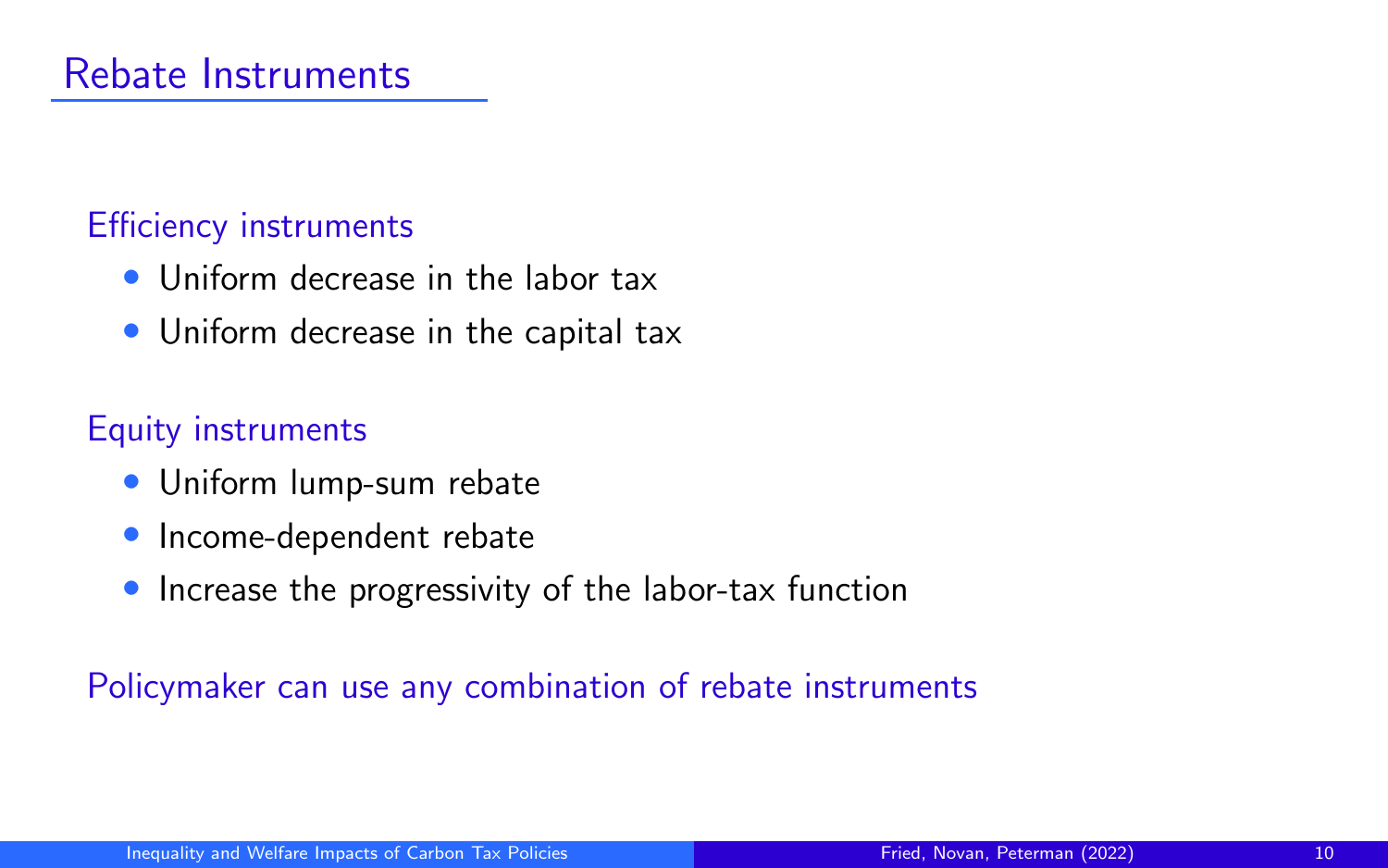#### Efficiency instruments

- Uniform decrease in the labor tax
- Uniform decrease in the capital tax

## Equity instruments

- Uniform lump-sum rebate
- Income-dependent rebate
- Increase the progressivity of the labor-tax function

#### Policymaker can use any combination of rebate instruments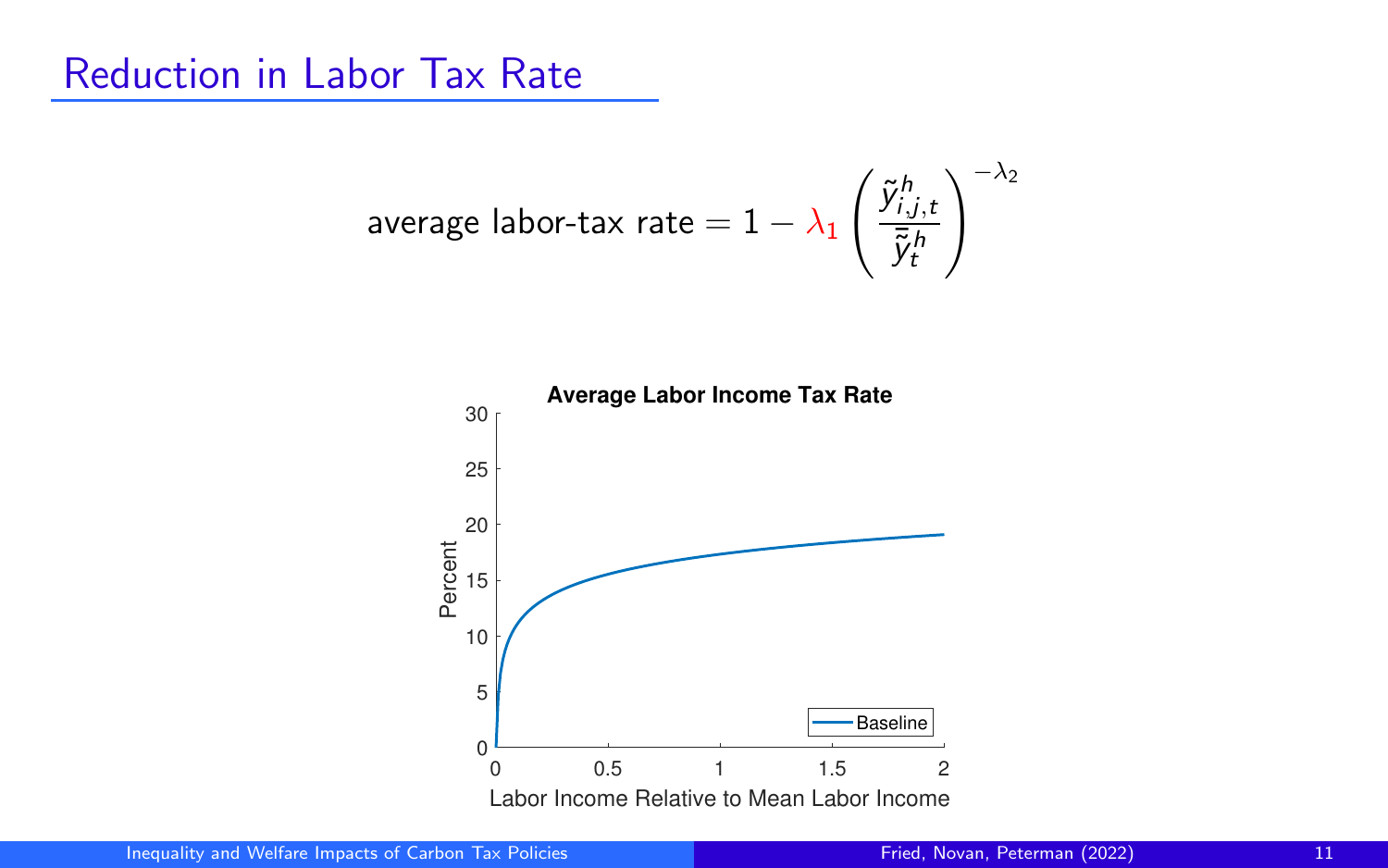## Reduction in Labor Tax Rate

$$
\text{average labor-tax rate} = 1 - \lambda_1 \left( \frac{\tilde{y}^h_{i,j,t}}{\bar{\tilde{y}}^h_t} \right)^{-\lambda_2}
$$

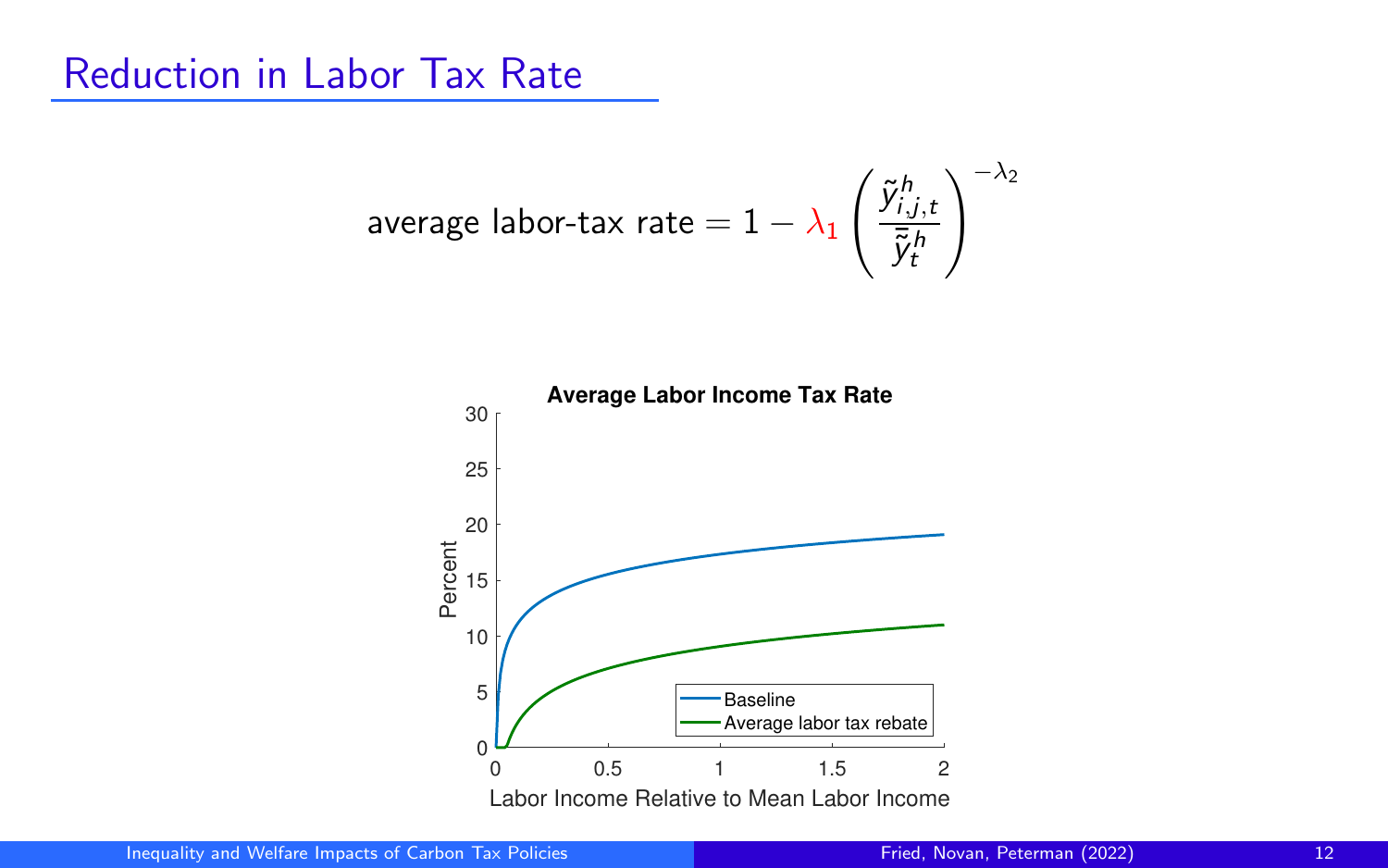## Reduction in Labor Tax Rate

$$
\text{average labor-tax rate} = 1 - \lambda_1 \left(\frac{\tilde{y}^h_{i,j,t}}{\bar{\tilde{y}}^h_t}\right)^{-\lambda_2}
$$

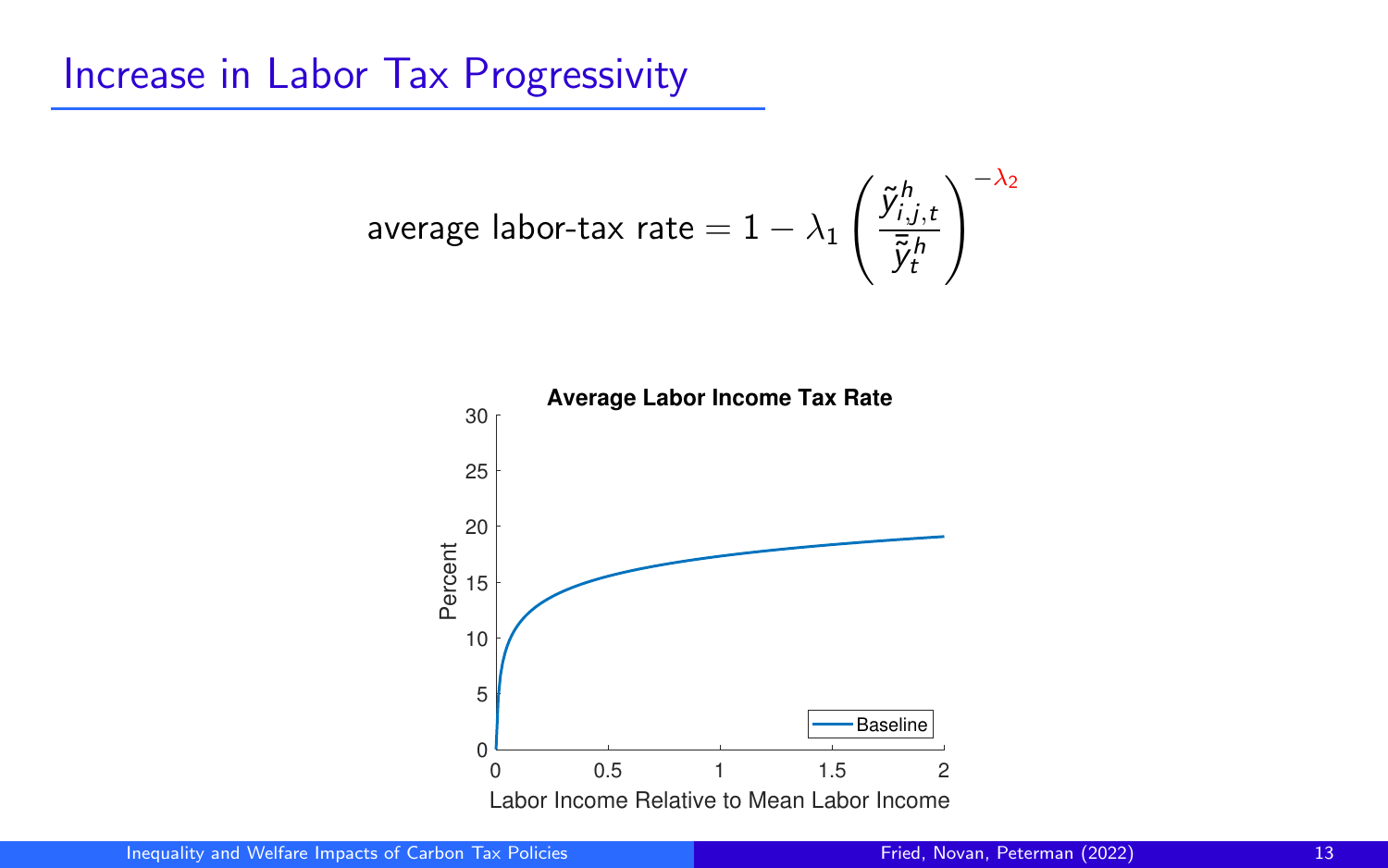## Increase in Labor Tax Progressivity

$$
\text{average labor-tax rate} = 1 - \lambda_1 \left( \frac{\tilde{y}^h_{i,j,t}}{\bar{\tilde{y}}^h_t} \right)^{-\lambda_2}
$$

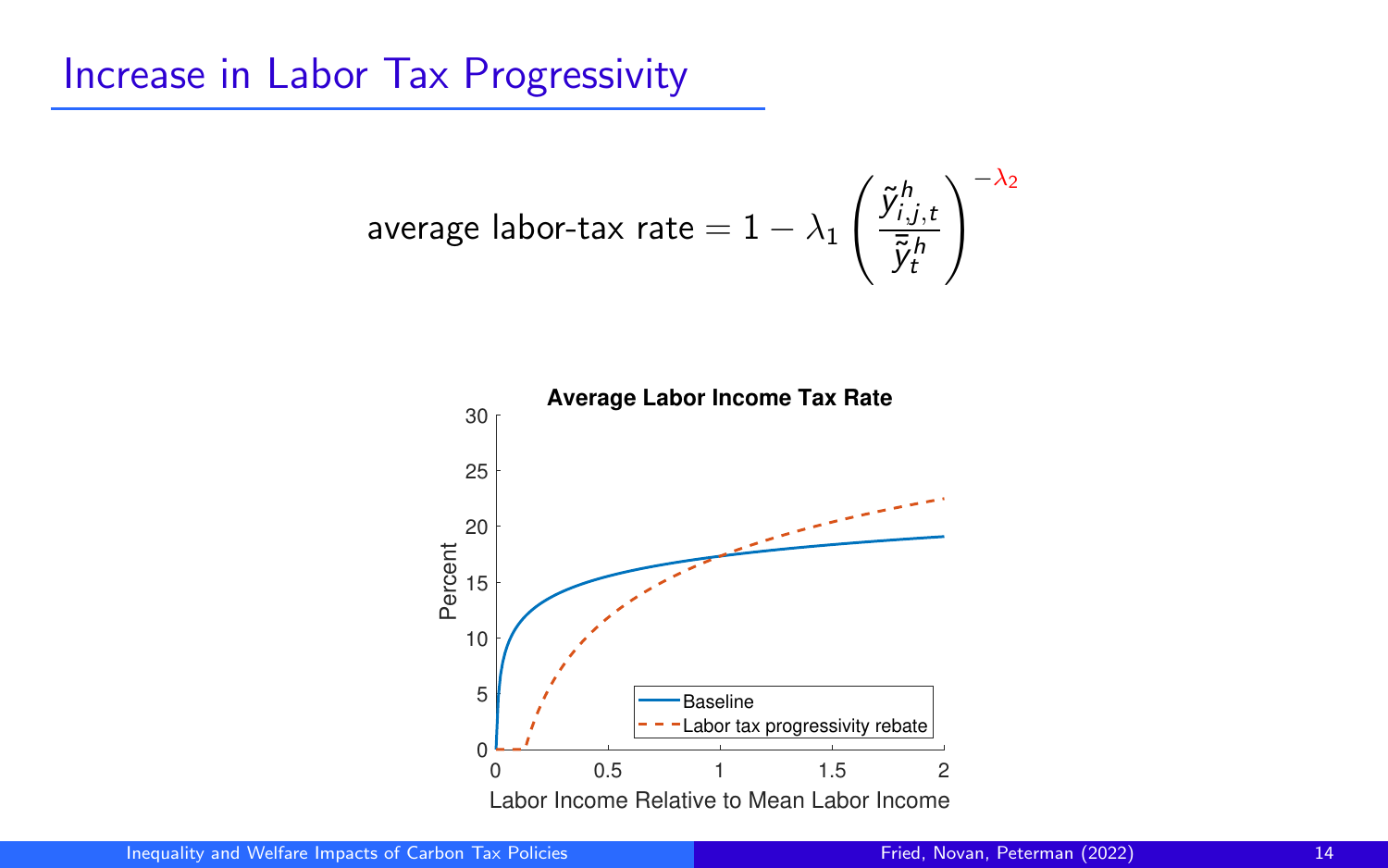## Increase in Labor Tax Progressivity

$$
\text{average labor-tax rate} = 1 - \lambda_1 \left(\frac{\tilde{y}^h_{i,j,t}}{\bar{\tilde{y}}^h_t}\right)^{-\lambda_2}
$$

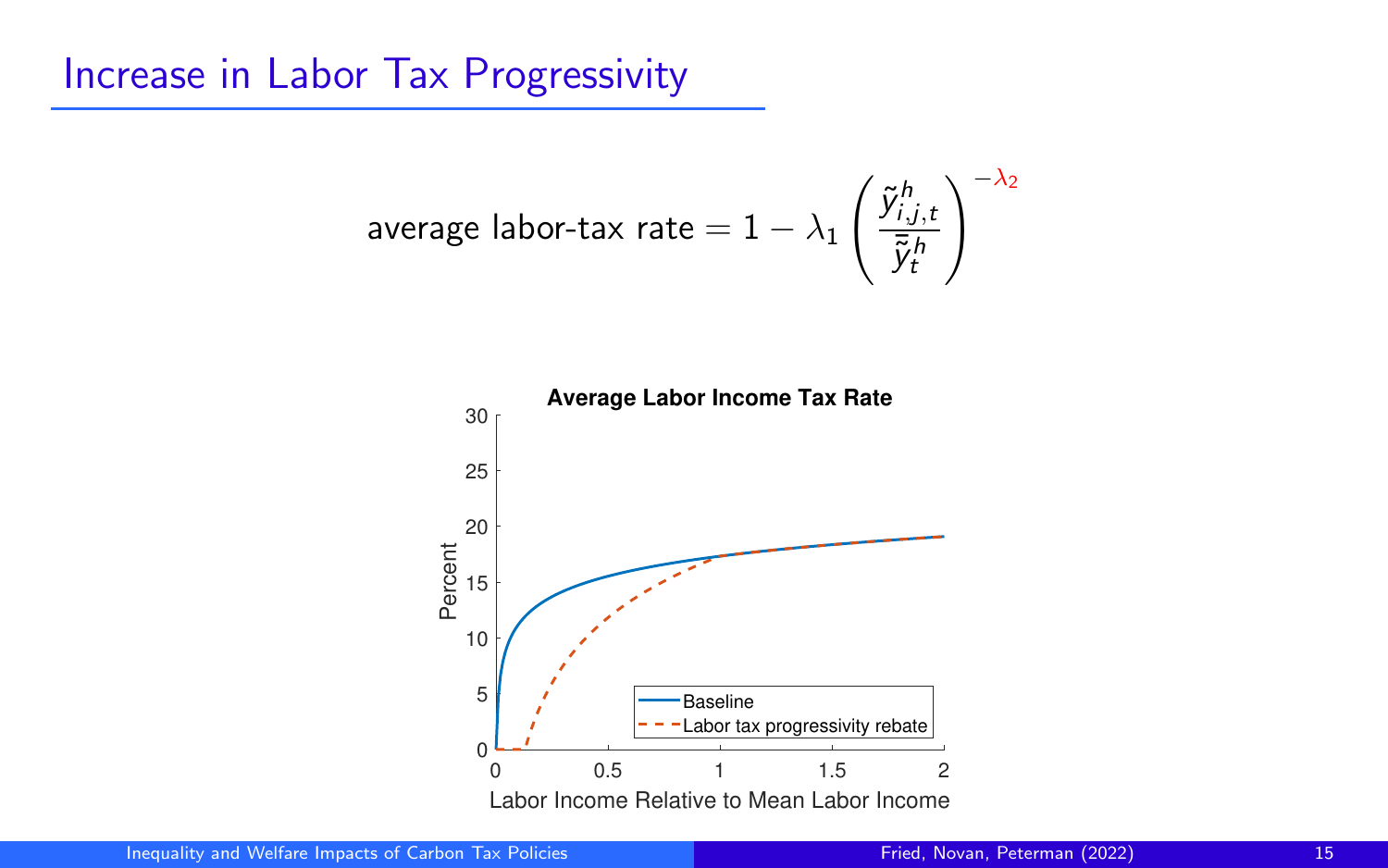## Increase in Labor Tax Progressivity

$$
\text{average labor-tax rate} = 1 - \lambda_1 \left( \frac{\tilde{y}^h_{i,j,t}}{\bar{\tilde{y}}^h_t} \right)^{-\lambda_2}
$$

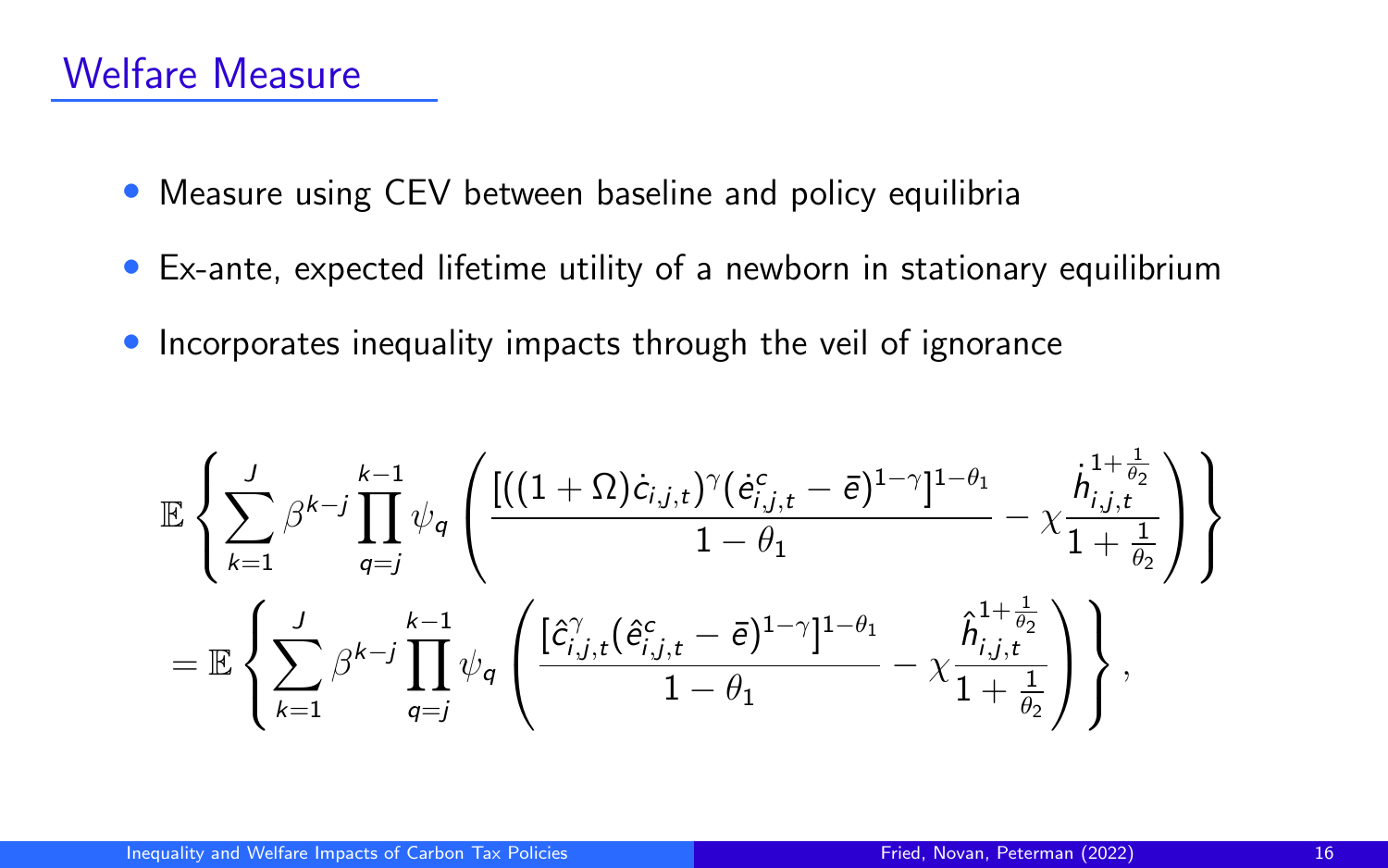- Measure using CEV between baseline and policy equilibria
- Ex-ante, expected lifetime utility of a newborn in stationary equilibrium
- Incorporates inequality impacts through the veil of ignorance

$$
\mathbb{E}\left\{\sum_{k=1}^J\beta^{k-j}\prod_{q=j}^{k-1}\psi_q\left(\frac{[((1+\Omega)\dot{c}_{i,j,t})^\gamma(\dot{e}_{i,j,t}^c-\bar{e})^{1-\gamma}]^{1-\theta_1}}{1-\theta_1}-\chi\frac{\dot{h}_{i,j,t}^{1+\frac{1}{\theta_2}}}{1+\frac{1}{\theta_2}}\right)\right\}\\=\mathbb{E}\left\{\sum_{k=1}^J\beta^{k-j}\prod_{q=j}^{k-1}\psi_q\left(\frac{[\hat{c}_{i,j,t}^\gamma(\hat{e}_{i,j,t}^c-\bar{e})^{1-\gamma}]^{1-\theta_1}}{1-\theta_1}-\chi\frac{\hat{h}_{i,j,t}^{1+\frac{1}{\theta_2}}}{1+\frac{1}{\theta_2}}\right)\right\},\
$$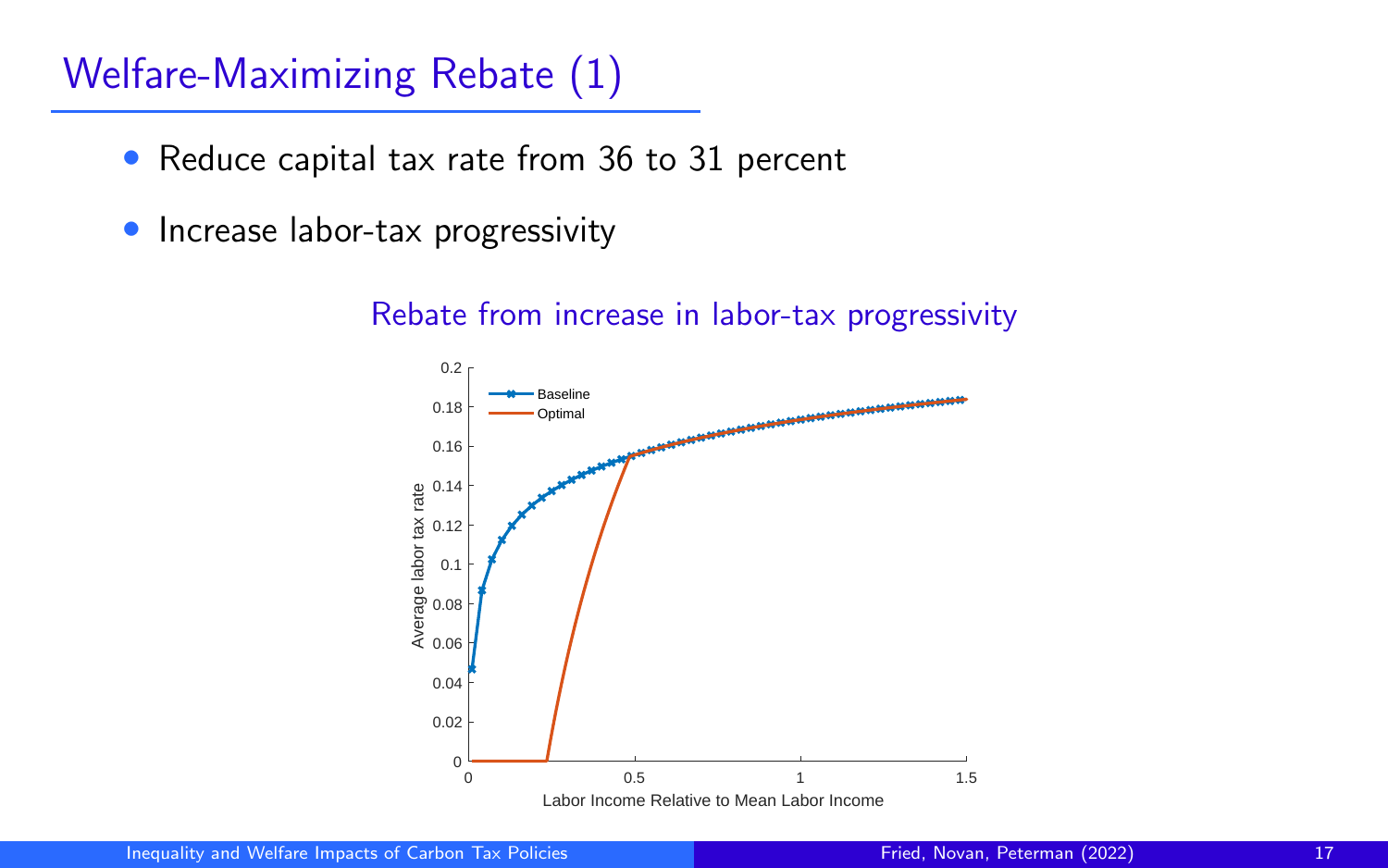## Welfare-Maximizing Rebate (1)

- Reduce capital tax rate from 36 to 31 percent
- Increase labor-tax progressivity



#### Rebate from increase in labor-tax progressivity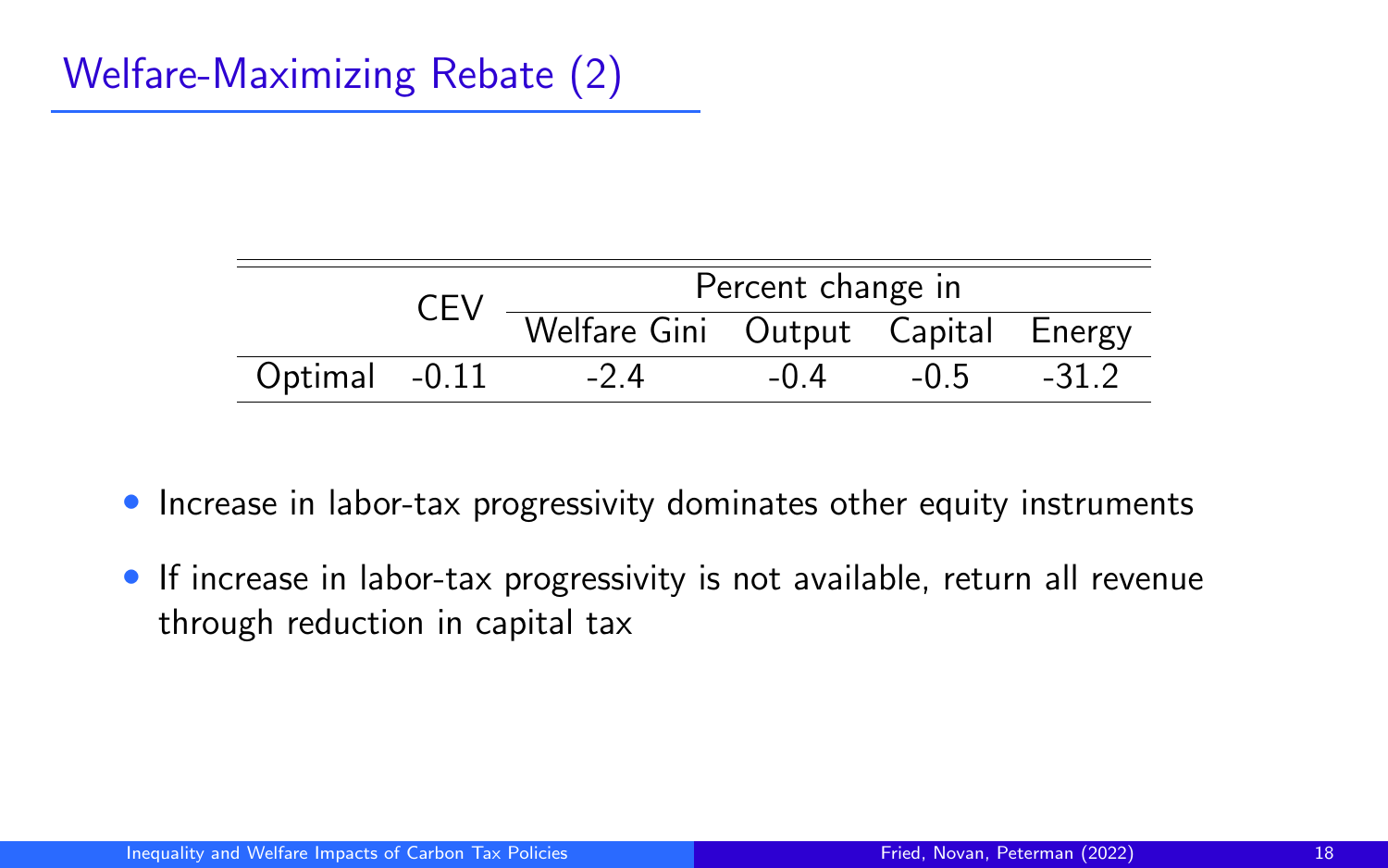|               | CEV | Percent change in                  |        |        |         |
|---------------|-----|------------------------------------|--------|--------|---------|
|               |     | Welfare Gini Output Capital Energy |        |        |         |
| Optimal -0.11 |     | -24                                | $-0.4$ | $-0.5$ | $-31.2$ |

- Increase in labor-tax progressivity dominates other equity instruments
- If increase in labor-tax progressivity is not available, return all revenue through reduction in capital tax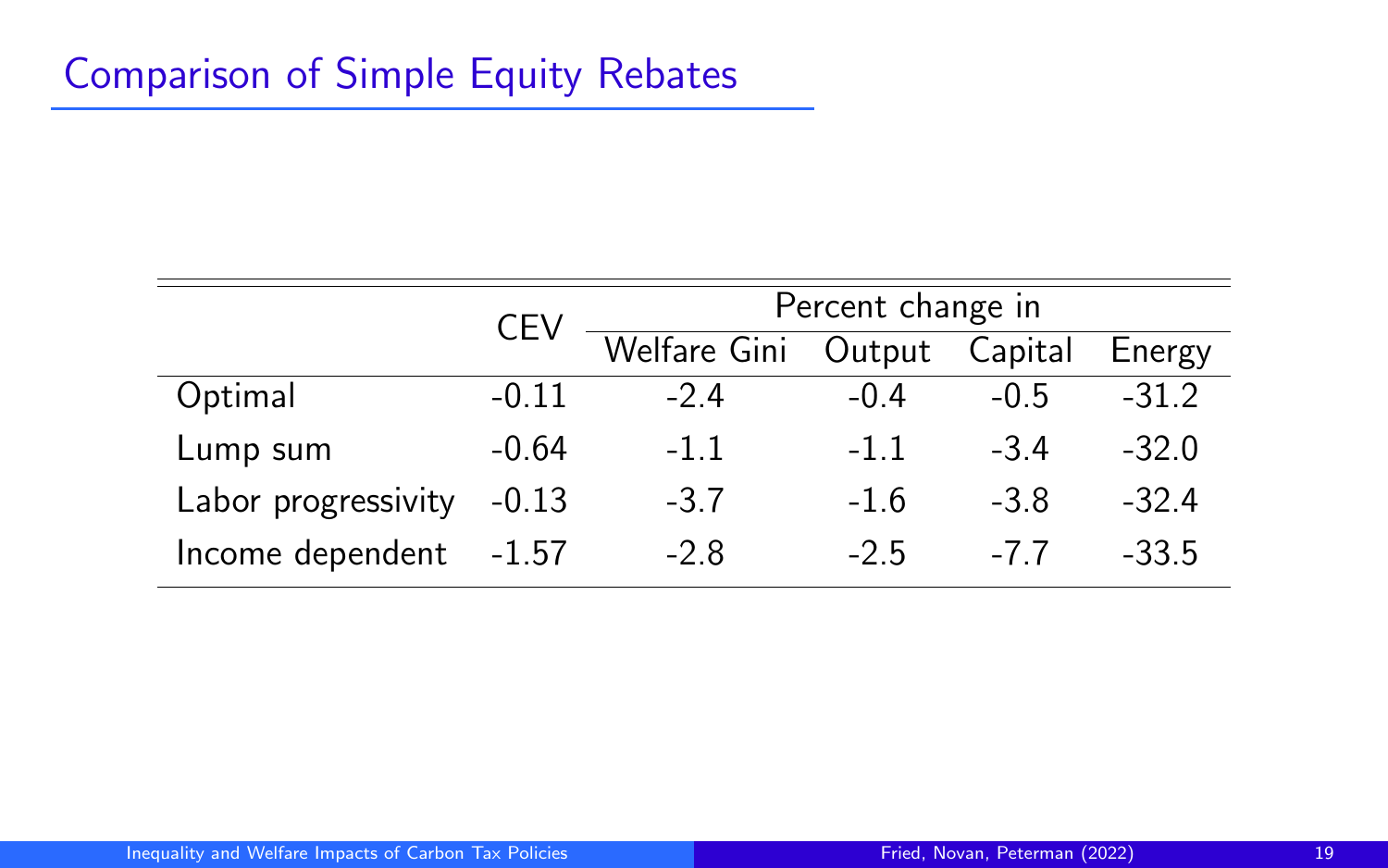|                     | <b>CEV</b> | Percent change in           |        |        |         |
|---------------------|------------|-----------------------------|--------|--------|---------|
|                     |            | Welfare Gini Output Capital |        |        | Energy  |
| Optimal             | $-0.11$    | $-24$                       | $-0.4$ | $-0.5$ | $-31.2$ |
| Lump sum            | $-0.64$    | $-1.1$                      | $-1.1$ | $-34$  | $-32.0$ |
| Labor progressivity | $-0.13$    | $-3.7$                      | $-1.6$ | $-3.8$ | $-32.4$ |
| Income dependent    | -1.57      | $-2.8$                      | $-2.5$ | -77    | $-33.5$ |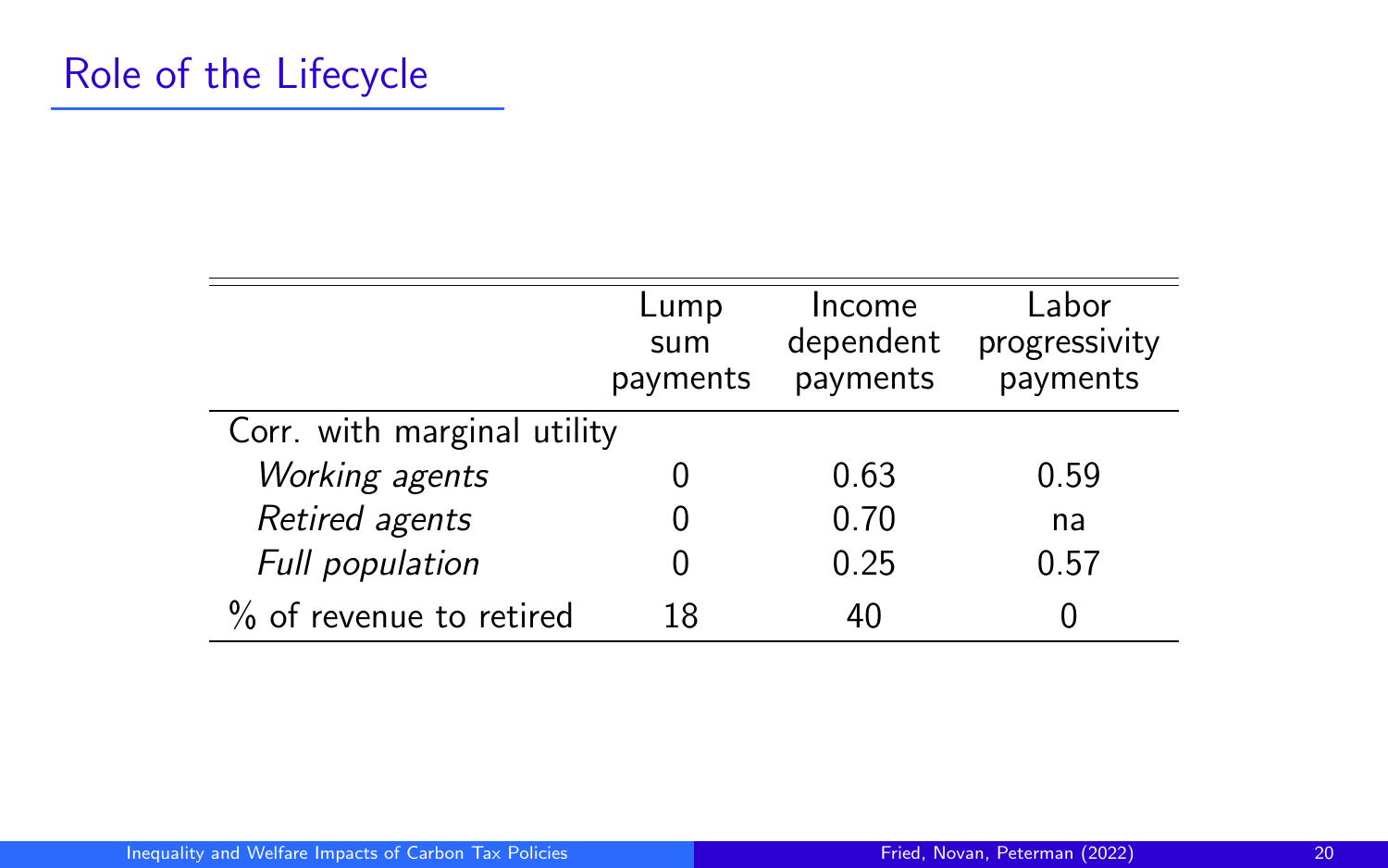|                             | Lump<br>sum<br>payments | Income<br>dependent<br>payments | Labor<br>progressivity<br>payments |
|-----------------------------|-------------------------|---------------------------------|------------------------------------|
| Corr. with marginal utility |                         |                                 |                                    |
| Working agents              | 0                       | 0.63                            | 0.59                               |
| Retired agents              | 0                       | 0.70                            | na                                 |
| Full population             | $\mathbf{0}$            | 0.25                            | 0.57                               |
| % of revenue to retired     | 18                      | 40                              |                                    |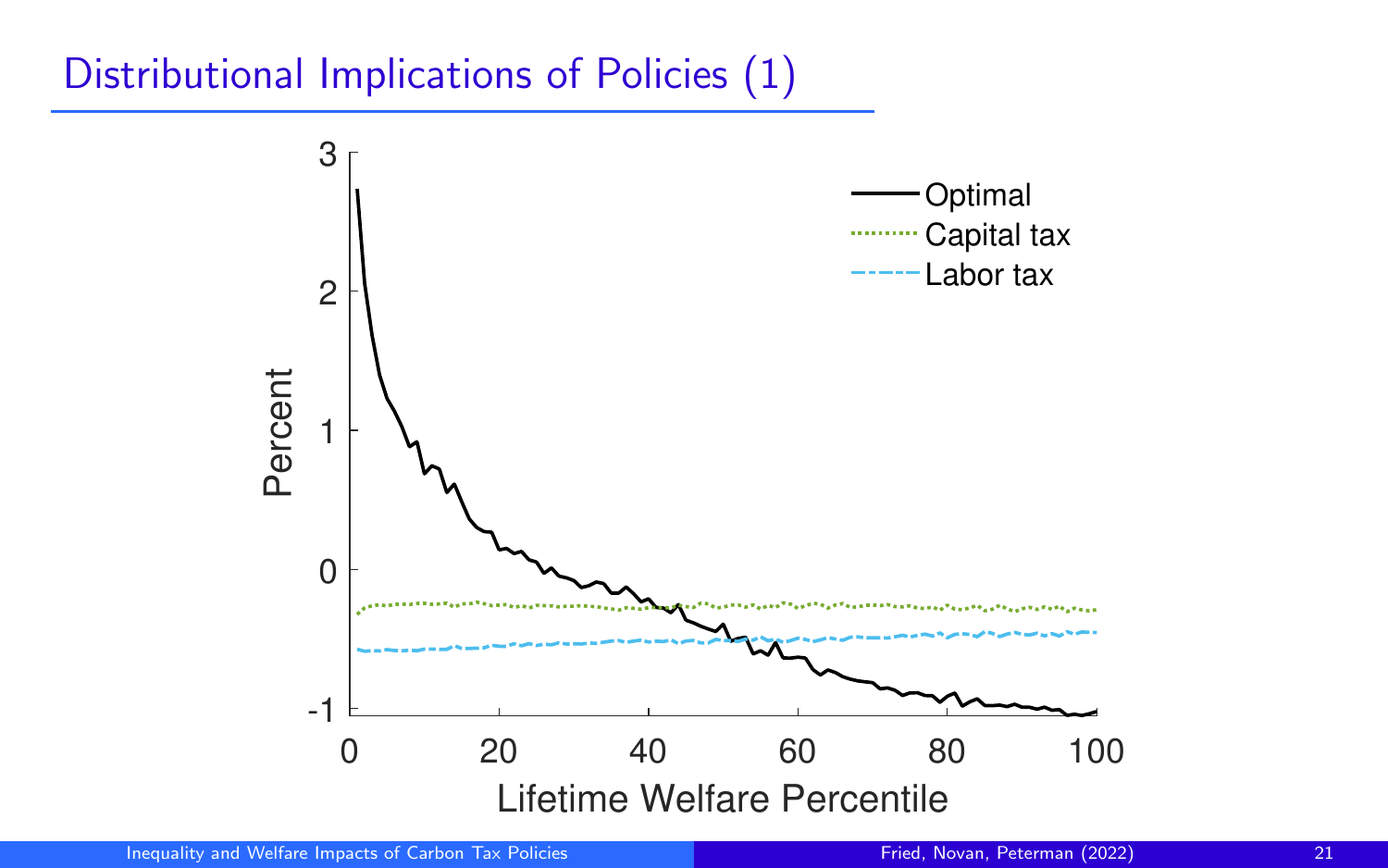## Distributional Implications of Policies (1)

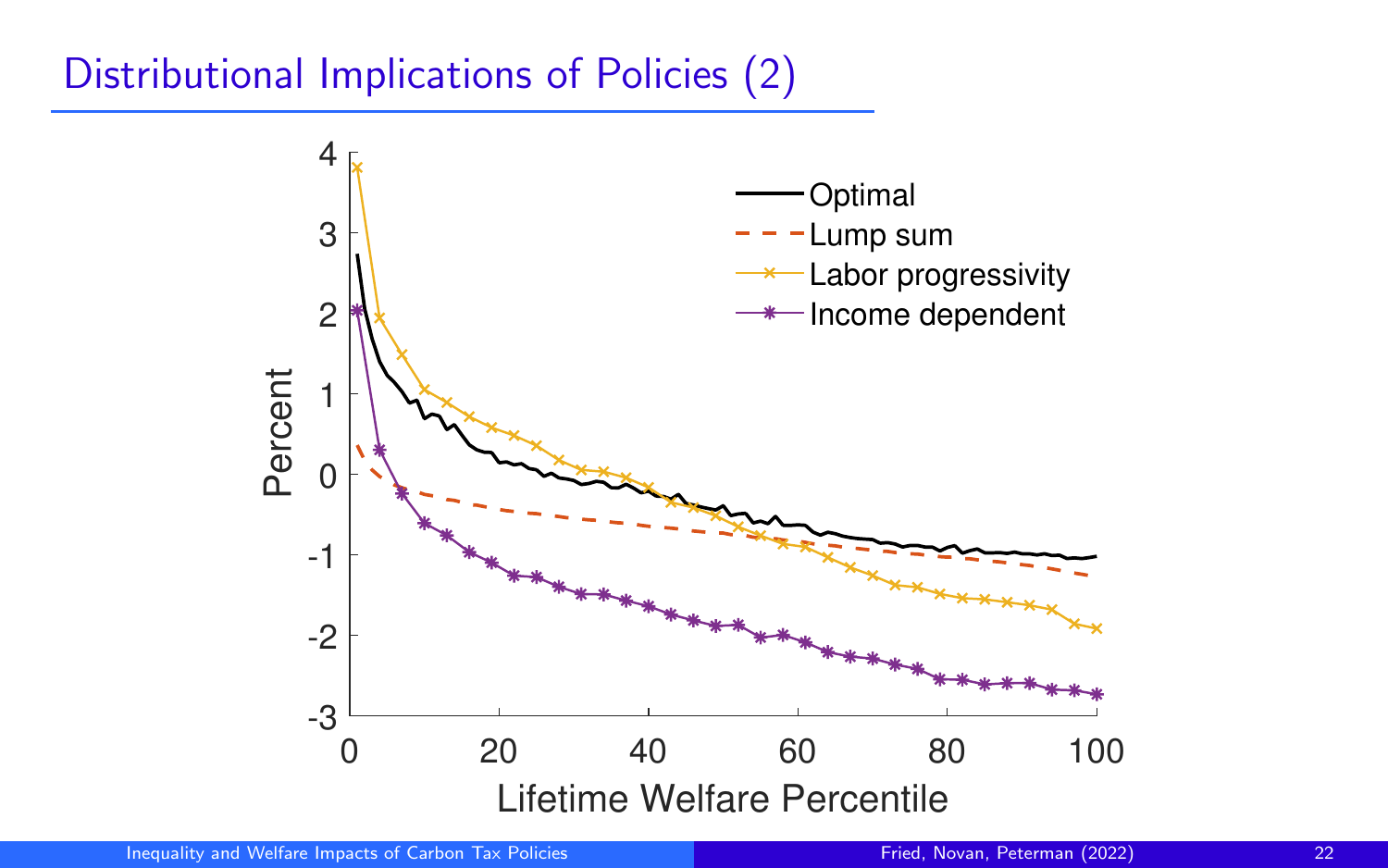# Distributional Implications of Policies (2)

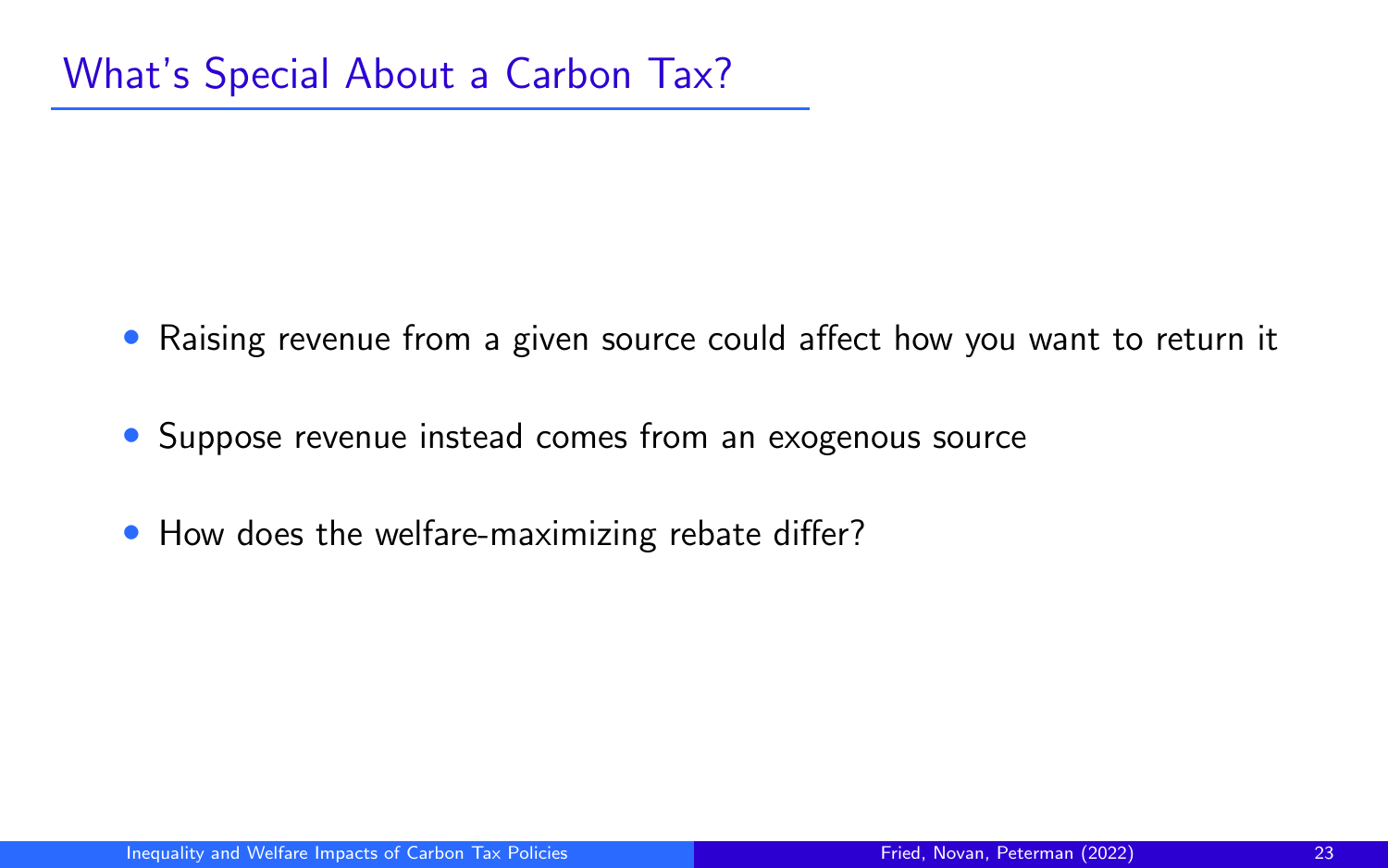- Raising revenue from a given source could affect how you want to return it
- Suppose revenue instead comes from an exogenous source
- How does the welfare-maximizing rebate differ?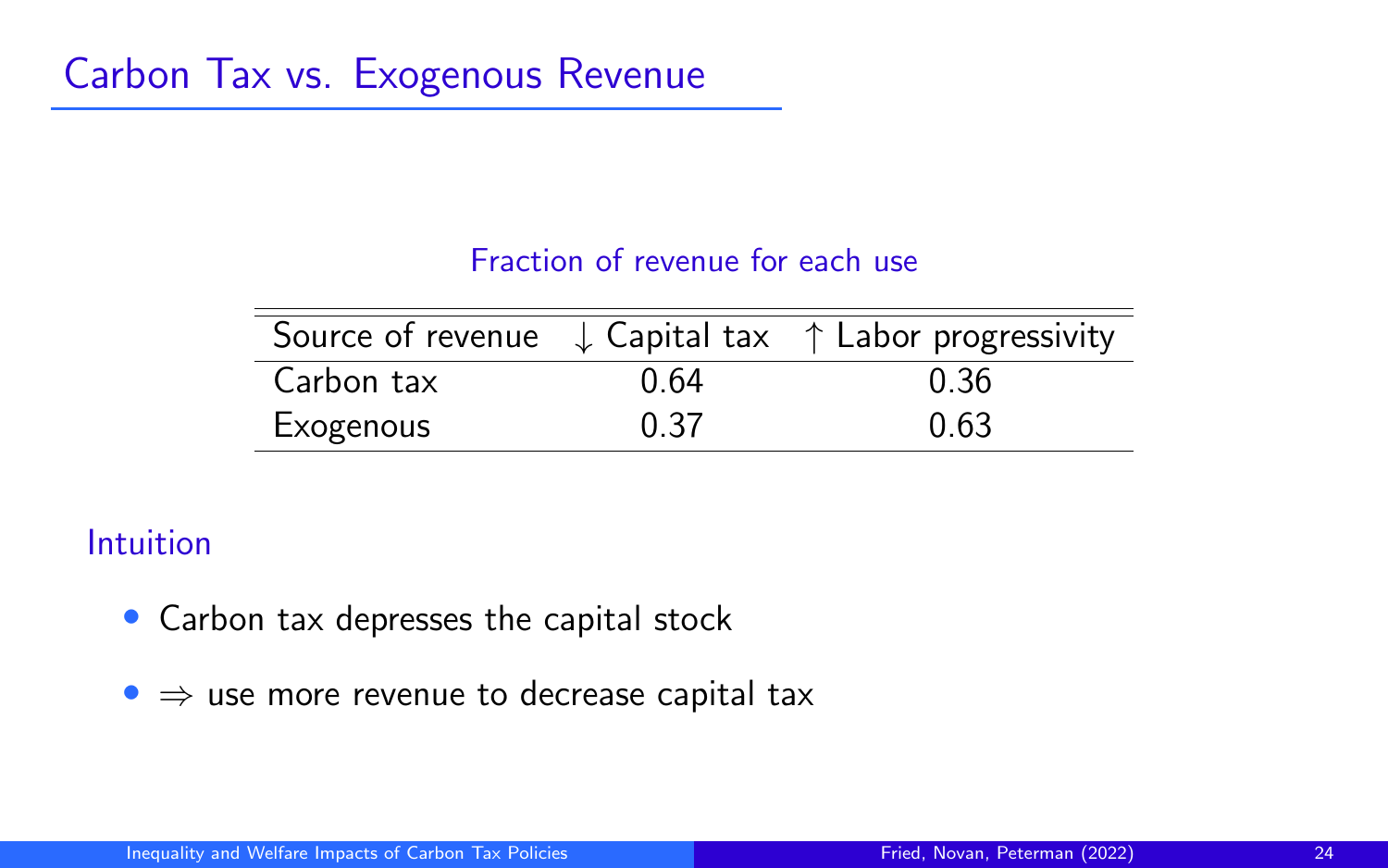#### Fraction of revenue for each use

|            |      | Source of revenue $\downarrow$ Capital tax $\uparrow$ Labor progressivity |
|------------|------|---------------------------------------------------------------------------|
| Carbon tax | በ 64 | 0.36                                                                      |
| Exogenous  | 0.37 | 0.63                                                                      |

#### Intuition

- Carbon tax depresses the capital stock
- $\bullet \Rightarrow$  use more revenue to decrease capital tax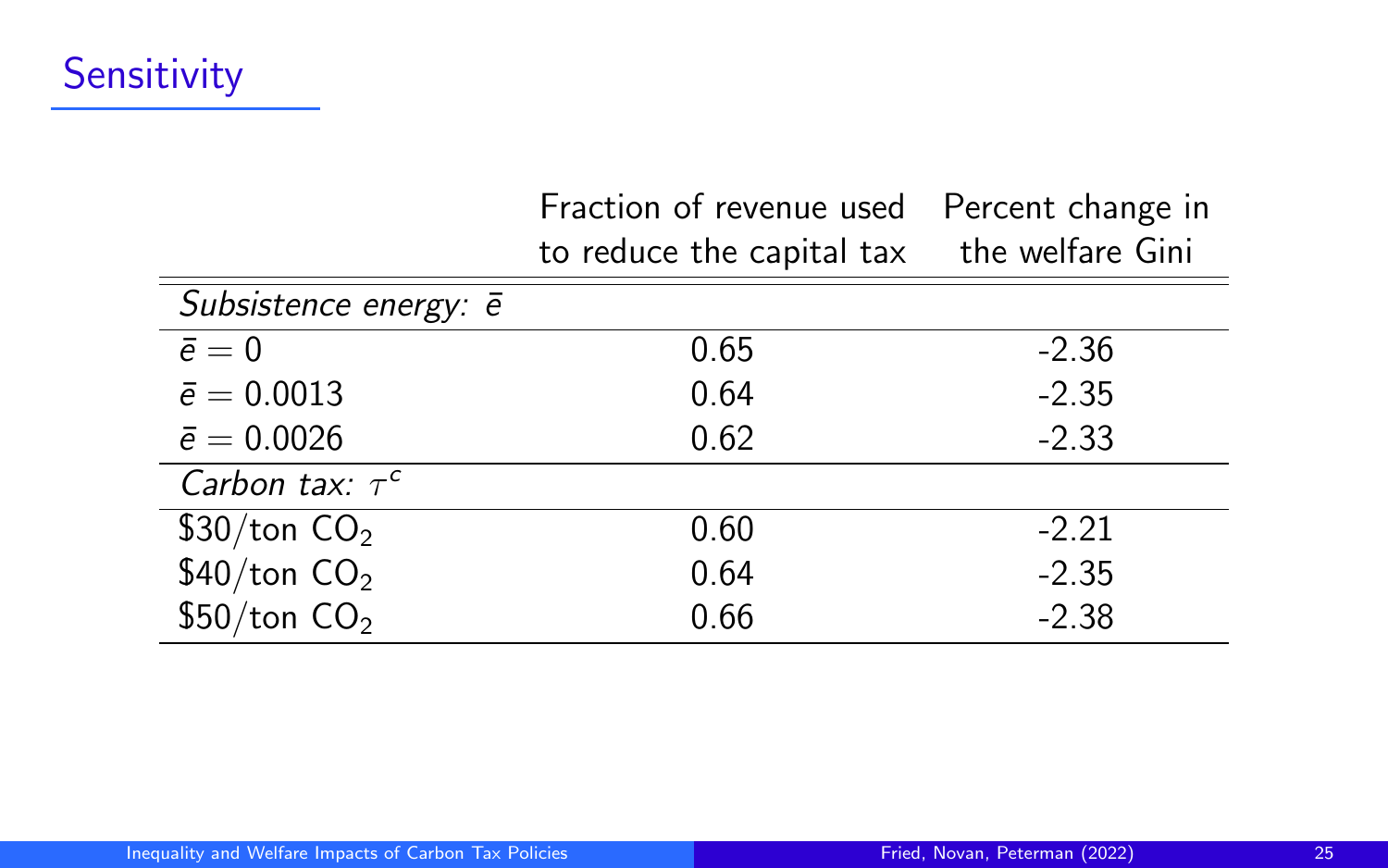|                               | Fraction of revenue used<br>to reduce the capital tax | Percent change in<br>the welfare Gini |
|-------------------------------|-------------------------------------------------------|---------------------------------------|
| Subsistence energy: $\bar{e}$ |                                                       |                                       |
| $\bar{e}=0$                   | 0.65                                                  | $-2.36$                               |
| $\bar{e} = 0.0013$            | 0.64                                                  | $-2.35$                               |
| $\bar{e} = 0.0026$            | 0.62                                                  | $-2.33$                               |
| Carbon tax: $\tau^c$          |                                                       |                                       |
| \$30/ton $CO2$                | 0.60                                                  | $-2.21$                               |
| \$40/ton $CO2$                | 0.64                                                  | $-2.35$                               |
| \$50/ton CO <sub>2</sub>      | 0.66                                                  | $-2.38$                               |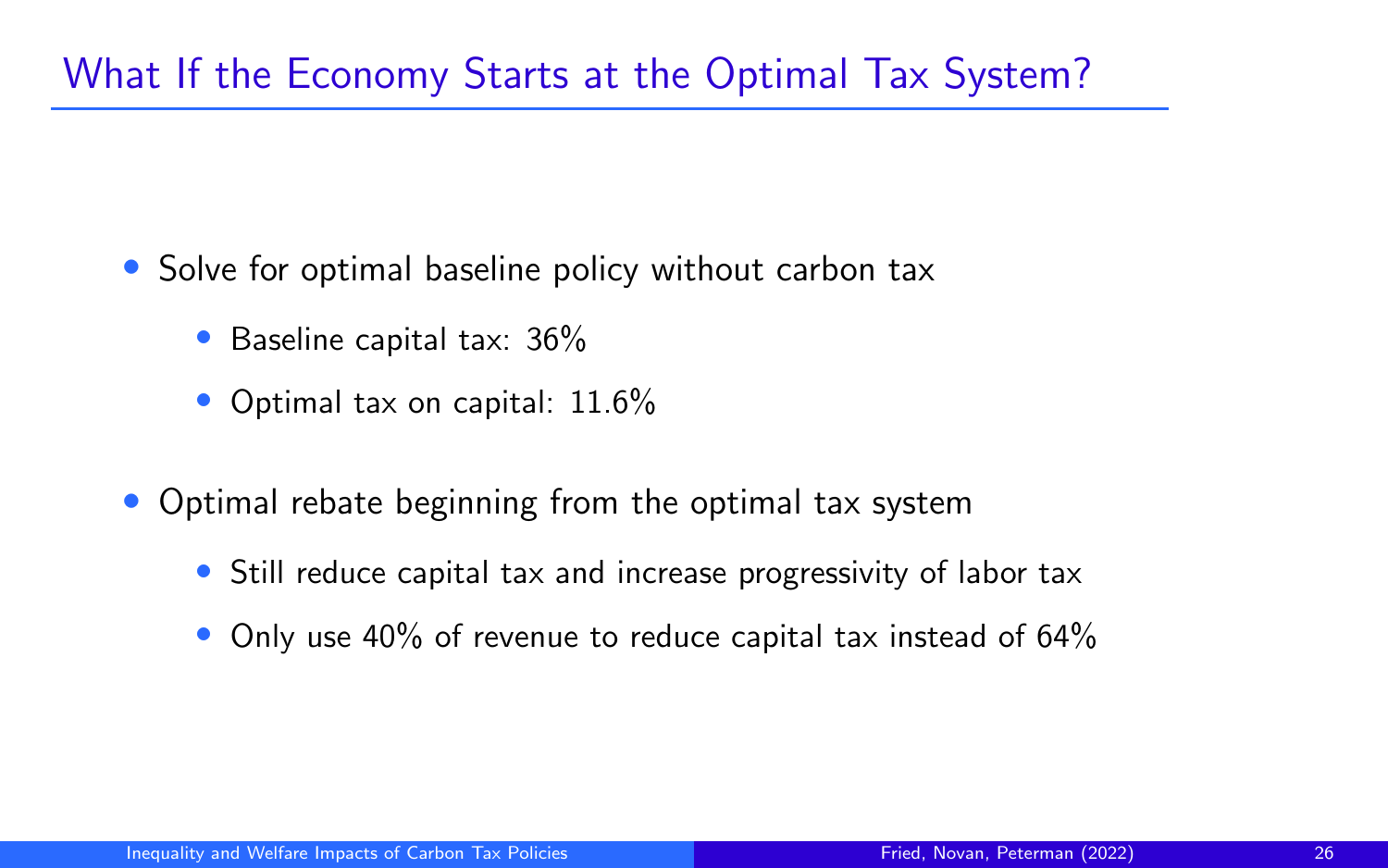# What If the Economy Starts at the Optimal Tax System?

- Solve for optimal baseline policy without carbon tax
	- Baseline capital tax: 36%
	- Optimal tax on capital: 11.6%
- Optimal rebate beginning from the optimal tax system
	- Still reduce capital tax and increase progressivity of labor tax
	- Only use 40% of revenue to reduce capital tax instead of 64%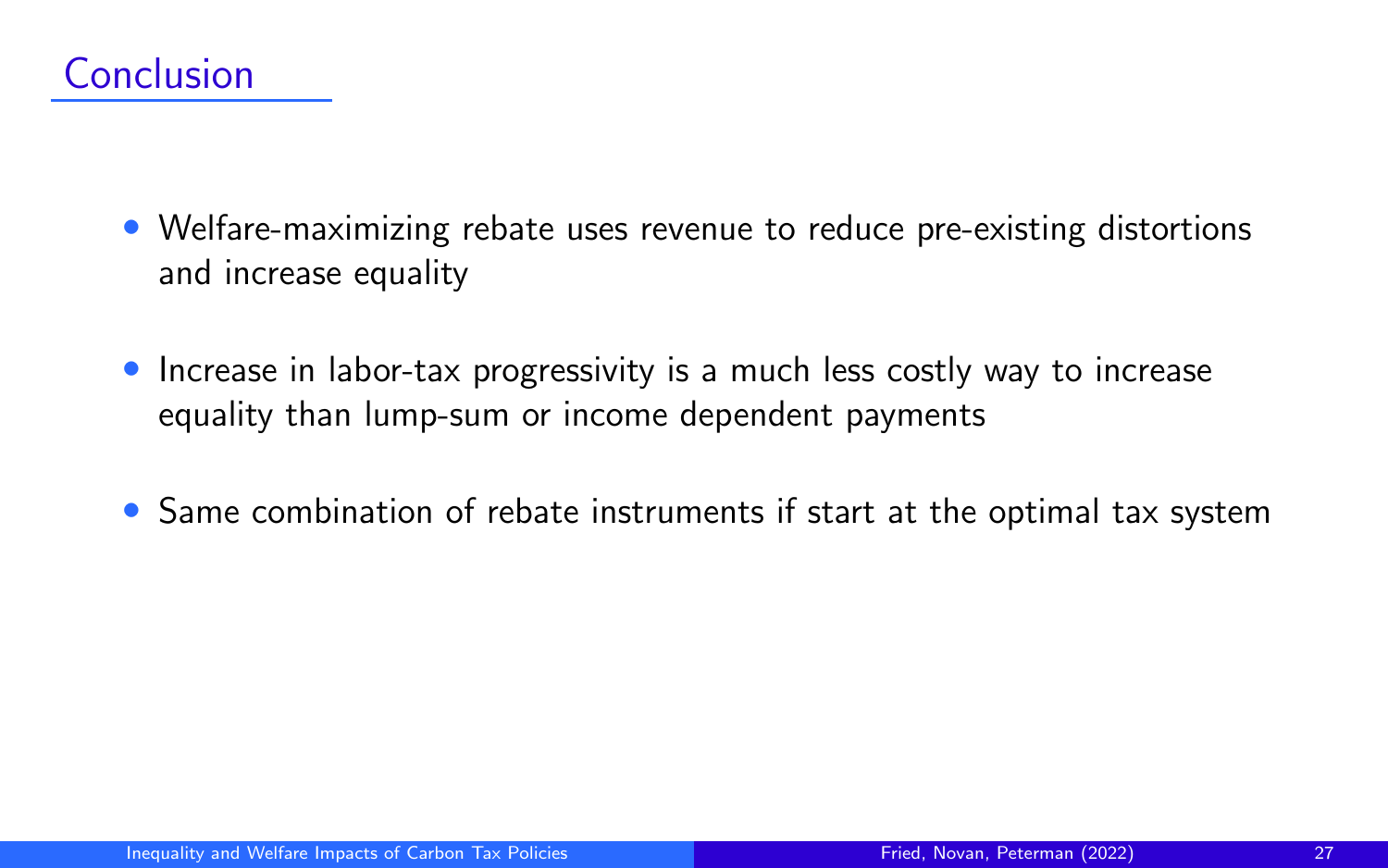- Welfare-maximizing rebate uses revenue to reduce pre-existing distortions and increase equality
- Increase in labor-tax progressivity is a much less costly way to increase equality than lump-sum or income dependent payments
- Same combination of rebate instruments if start at the optimal tax system